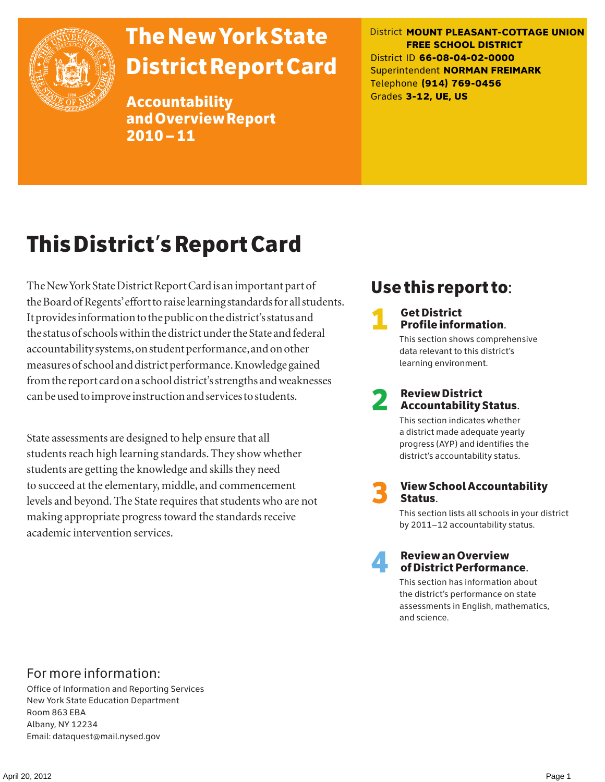

# The New York State District Report Card

Accountability and Overview Report 2010–11

District **MOUNT PLEASANT-COTTAGE UNION FREE SCHOOL DISTRICT** District ID **66-08-04-02-0000** Superintendent **NORMAN FREIMARK** Telephone **(914) 769-0456** Grades **3-12, UE, US**

# This District's Report Card

The New York State District Report Card is an important part of the Board of Regents' effort to raise learning standards for all students. It provides information to the public on the district's status and the status of schools within the district under the State and federal accountability systems, on student performance, and on other measures of school and district performance. Knowledge gained from the report card on a school district's strengths and weaknesses can be used to improve instruction and services to students.

State assessments are designed to help ensure that all students reach high learning standards. They show whether students are getting the knowledge and skills they need to succeed at the elementary, middle, and commencement levels and beyond. The State requires that students who are not making appropriate progress toward the standards receive academic intervention services.

# Use this report to:

**1** Get District<br>Profile information.

This section shows comprehensive data relevant to this district's learning environment.

# 2 Review District Accountability Status.

This section indicates whether a district made adequate yearly progress (AYP) and identifies the district's accountability status.

3 View School Accountability Status.

This section lists all schools in your district by 2011–12 accountability status.



### 4 Review an Overview of District Performance.

This section has information about the district's performance on state assessments in English, mathematics, and science.

### For more information:

Office of Information and Reporting Services New York State Education Department Room 863 EBA Albany, NY 12234 Email: dataquest@mail.nysed.gov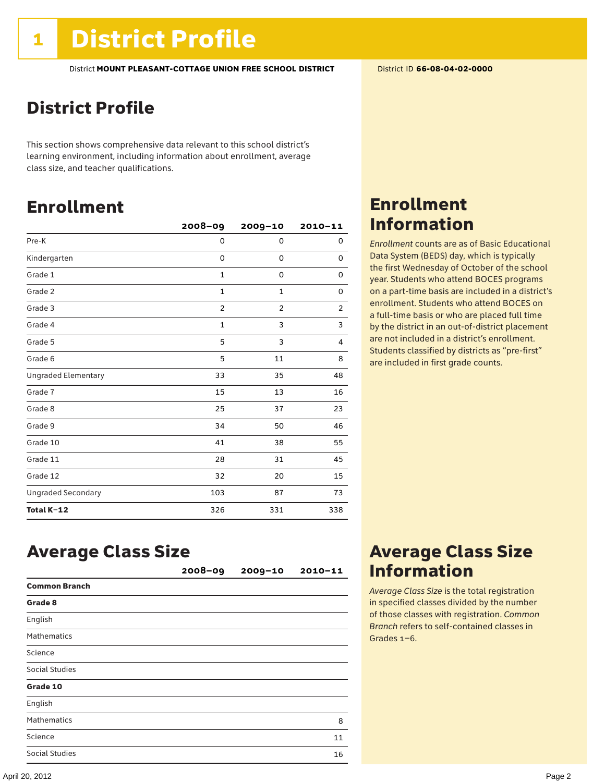# District Profile

This section shows comprehensive data relevant to this school district's learning environment, including information about enrollment, average class size, and teacher qualifications.

# Enrollment

|                            | $2008 - 09$    | 2009-10        | $2010 - 11$    |
|----------------------------|----------------|----------------|----------------|
| Pre-K                      | 0              | 0              | 0              |
| Kindergarten               | 0              | 0              | 0              |
| Grade 1                    | $\mathbf{1}$   | 0              | 0              |
| Grade 2                    | $\mathbf{1}$   | $\mathbf 1$    | 0              |
| Grade 3                    | $\overline{2}$ | $\overline{2}$ | $\overline{2}$ |
| Grade 4                    | $\mathbf{1}$   | 3              | 3              |
| Grade 5                    | 5              | 3              | 4              |
| Grade 6                    | 5              | 11             | 8              |
| <b>Ungraded Elementary</b> | 33             | 35             | 48             |
| Grade 7                    | 15             | 13             | 16             |
| Grade 8                    | 25             | 37             | 23             |
| Grade 9                    | 34             | 50             | 46             |
| Grade 10                   | 41             | 38             | 55             |
| Grade 11                   | 28             | 31             | 45             |
| Grade 12                   | 32             | 20             | 15             |
| <b>Ungraded Secondary</b>  | 103            | 87             | 73             |
| Total K-12                 | 326            | 331            | 338            |

# Enrollment Information

*Enrollment* counts are as of Basic Educational Data System (BEDS) day, which is typically the first Wednesday of October of the school year. Students who attend BOCES programs on a part-time basis are included in a district's enrollment. Students who attend BOCES on a full-time basis or who are placed full time by the district in an out-of-district placement are not included in a district's enrollment. Students classified by districts as "pre-first" are included in first grade counts.

# Average Class Size

|                      | $2008 - 09$ | $2009 - 10$ | $2010 - 11$ |
|----------------------|-------------|-------------|-------------|
| <b>Common Branch</b> |             |             |             |
| Grade 8              |             |             |             |
| English              |             |             |             |
| <b>Mathematics</b>   |             |             |             |
| Science              |             |             |             |
| Social Studies       |             |             |             |
| Grade 10             |             |             |             |
| English              |             |             |             |
| <b>Mathematics</b>   |             |             | 8           |
| Science              |             |             | 11          |
| Social Studies       |             |             | 16          |

# Average Class Size Information

*Average Class Size* is the total registration in specified classes divided by the number of those classes with registration. *Common Branch* refers to self-contained classes in Grades 1–6.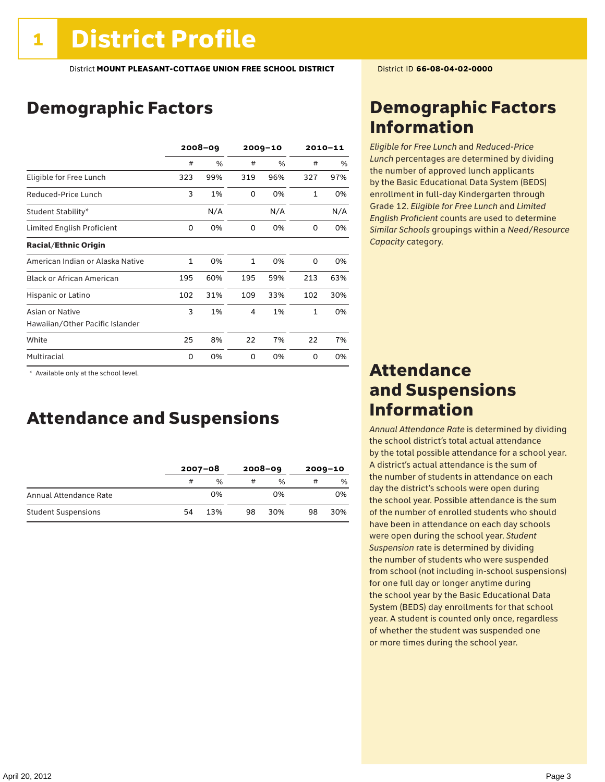# Demographic Factors

|                                  | $2008 - 09$ |      | $2009 - 10$  |      | $2010 - 11$  |     |
|----------------------------------|-------------|------|--------------|------|--------------|-----|
|                                  | #           | $\%$ | #            | $\%$ | #            | %   |
| Eligible for Free Lunch          | 323         | 99%  | 319          | 96%  | 327          | 97% |
| Reduced-Price Lunch              | 3           | 1%   | $\Omega$     | 0%   | $\mathbf{1}$ | 0%  |
| Student Stability*               |             | N/A  |              | N/A  |              | N/A |
| Limited English Proficient       | 0           | 0%   | 0            | 0%   | 0            | 0%  |
| <b>Racial/Ethnic Origin</b>      |             |      |              |      |              |     |
| American Indian or Alaska Native | 1           | 0%   | $\mathbf{1}$ | 0%   | $\Omega$     | 0%  |
| <b>Black or African American</b> | 195         | 60%  | 195          | 59%  | 213          | 63% |
| Hispanic or Latino               | 102         | 31%  | 109          | 33%  | 102          | 30% |
| Asian or Native                  | 3           | 1%   | 4            | 1%   | $\mathbf{1}$ | 0%  |
| Hawaiian/Other Pacific Islander  |             |      |              |      |              |     |
| White                            | 25          | 8%   | 22           | 7%   | 22           | 7%  |
| Multiracial                      | 0           | 0%   | 0            | 0%   | 0            | 0%  |

 \* Available only at the school level.

## Attendance and Suspensions

|                            | $2007 - 08$ |      | $2008 - 09$ |               | $2009 - 10$ |     |
|----------------------------|-------------|------|-------------|---------------|-------------|-----|
|                            | #           | $\%$ | #           | $\frac{0}{0}$ | #           | %   |
| Annual Attendance Rate     |             | 0%   |             | 0%            |             | 0%  |
| <b>Student Suspensions</b> | 54          | 13%  | 98          | 30%           | 98          | 30% |

# Demographic Factors Information

*Eligible for Free Lunch* and *Reduced*-*Price Lunch* percentages are determined by dividing the number of approved lunch applicants by the Basic Educational Data System (BEDS) enrollment in full-day Kindergarten through Grade 12. *Eligible for Free Lunch* and *Limited English Proficient* counts are used to determine *Similar Schools* groupings within a *Need*/*Resource Capacity* category.

## Attendance and Suspensions Information

*Annual Attendance Rate* is determined by dividing the school district's total actual attendance by the total possible attendance for a school year. A district's actual attendance is the sum of the number of students in attendance on each day the district's schools were open during the school year. Possible attendance is the sum of the number of enrolled students who should have been in attendance on each day schools were open during the school year. *Student Suspension* rate is determined by dividing the number of students who were suspended from school (not including in-school suspensions) for one full day or longer anytime during the school year by the Basic Educational Data System (BEDS) day enrollments for that school year. A student is counted only once, regardless of whether the student was suspended one or more times during the school year.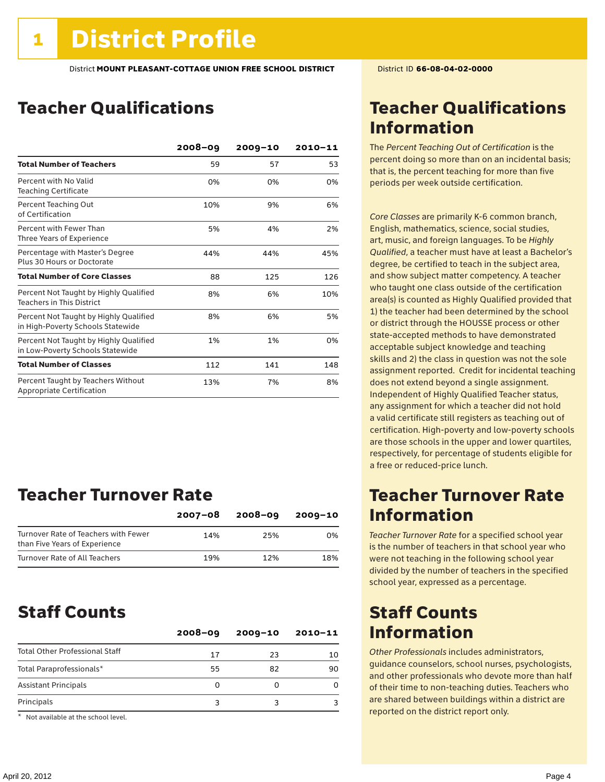# Teacher Qualifications

|                                                                             | $2008 - 09$ | $2009 - 10$ | $2010 - 11$ |
|-----------------------------------------------------------------------------|-------------|-------------|-------------|
| <b>Total Number of Teachers</b>                                             | 59          | 57          | 53          |
| Percent with No Valid<br><b>Teaching Certificate</b>                        | 0%          | 0%          | 0%          |
| Percent Teaching Out<br>of Certification                                    | 10%         | 9%          | 6%          |
| Percent with Fewer Than<br>Three Years of Experience                        | 5%          | 4%          | 2%          |
| Percentage with Master's Degree<br>Plus 30 Hours or Doctorate               | 44%         | 44%         | 45%         |
| <b>Total Number of Core Classes</b>                                         | 88          | 125         | 126         |
| Percent Not Taught by Highly Qualified<br><b>Teachers in This District</b>  | 8%          | 6%          | 10%         |
| Percent Not Taught by Highly Qualified<br>in High-Poverty Schools Statewide | 8%          | 6%          | 5%          |
| Percent Not Taught by Highly Qualified<br>in Low-Poverty Schools Statewide  | 1%          | 1%          | 0%          |
| <b>Total Number of Classes</b>                                              | 112         | 141         | 148         |
| Percent Taught by Teachers Without<br>Appropriate Certification             | 13%         | 7%          | 8%          |

# Teacher Turnover Rate

|                                                                       | $2007 - 08$ | 2008-09 | $2009 - 10$ |
|-----------------------------------------------------------------------|-------------|---------|-------------|
| Turnover Rate of Teachers with Fewer<br>than Five Years of Experience | 14%         | 25%     | በ%          |
| Turnover Rate of All Teachers                                         | 19%         | 12%     | 18%         |

## Staff Counts

|                                       | $2008 - 09$ | $2009 - 10$ | 2010-11 |
|---------------------------------------|-------------|-------------|---------|
| <b>Total Other Professional Staff</b> | 17          | 23          | 10      |
| Total Paraprofessionals*              | 55          | 82          | 90      |
| <b>Assistant Principals</b>           | 0           |             |         |
| Principals                            |             |             |         |

\* Not available at the school level.

# Teacher Qualifications Information

The *Percent Teaching Out of Certification* is the percent doing so more than on an incidental basis; that is, the percent teaching for more than five periods per week outside certification.

*Core Classes* are primarily K-6 common branch, English, mathematics, science, social studies, art, music, and foreign languages. To be *Highly Qualified*, a teacher must have at least a Bachelor's degree, be certified to teach in the subject area, and show subject matter competency. A teacher who taught one class outside of the certification area(s) is counted as Highly Qualified provided that 1) the teacher had been determined by the school or district through the HOUSSE process or other state-accepted methods to have demonstrated acceptable subject knowledge and teaching skills and 2) the class in question was not the sole assignment reported. Credit for incidental teaching does not extend beyond a single assignment. Independent of Highly Qualified Teacher status, any assignment for which a teacher did not hold a valid certificate still registers as teaching out of certification. High-poverty and low-poverty schools are those schools in the upper and lower quartiles, respectively, for percentage of students eligible for a free or reduced-price lunch.

# Teacher Turnover Rate Information

*Teacher Turnover Rate* for a specified school year is the number of teachers in that school year who were not teaching in the following school year divided by the number of teachers in the specified school year, expressed as a percentage.

# Staff Counts Information

*Other Professionals* includes administrators, guidance counselors, school nurses, psychologists, and other professionals who devote more than half of their time to non-teaching duties. Teachers who are shared between buildings within a district are reported on the district report only.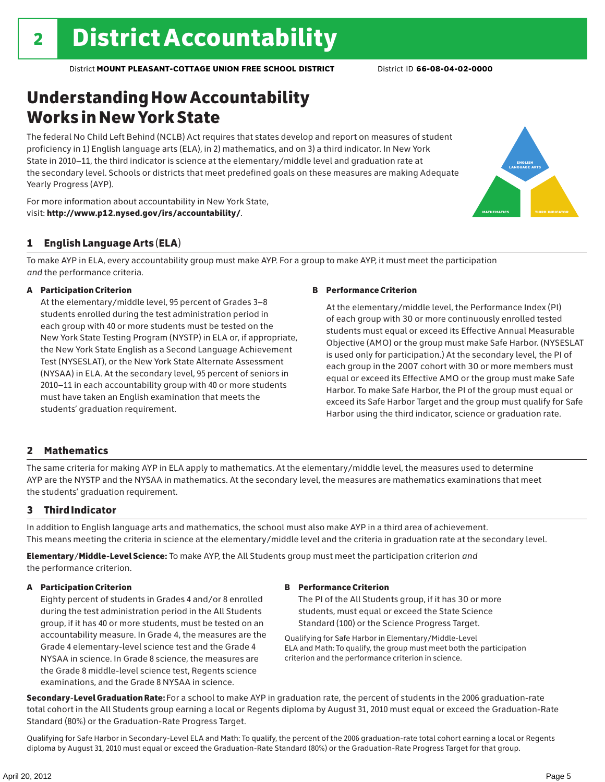# Understanding How Accountability Works in New York State

The federal No Child Left Behind (NCLB) Act requires that states develop and report on measures of student proficiency in 1) English language arts (ELA), in 2) mathematics, and on 3) a third indicator. In New York State in 2010–11, the third indicator is science at the elementary/middle level and graduation rate at the secondary level. Schools or districts that meet predefined goals on these measures are making Adequate Yearly Progress (AYP).





### 1 English Language Arts (ELA)

To make AYP in ELA, every accountability group must make AYP. For a group to make AYP, it must meet the participation *and* the performance criteria.

### A Participation Criterion

At the elementary/middle level, 95 percent of Grades 3–8 students enrolled during the test administration period in each group with 40 or more students must be tested on the New York State Testing Program (NYSTP) in ELA or, if appropriate, the New York State English as a Second Language Achievement Test (NYSESLAT), or the New York State Alternate Assessment (NYSAA) in ELA. At the secondary level, 95 percent of seniors in 2010–11 in each accountability group with 40 or more students must have taken an English examination that meets the students' graduation requirement.

### B Performance Criterion

At the elementary/middle level, the Performance Index (PI) of each group with 30 or more continuously enrolled tested students must equal or exceed its Effective Annual Measurable Objective (AMO) or the group must make Safe Harbor. (NYSESLAT is used only for participation.) At the secondary level, the PI of each group in the 2007 cohort with 30 or more members must equal or exceed its Effective AMO or the group must make Safe Harbor. To make Safe Harbor, the PI of the group must equal or exceed its Safe Harbor Target and the group must qualify for Safe Harbor using the third indicator, science or graduation rate.

### 2 Mathematics

The same criteria for making AYP in ELA apply to mathematics. At the elementary/middle level, the measures used to determine AYP are the NYSTP and the NYSAA in mathematics. At the secondary level, the measures are mathematics examinations that meet the students' graduation requirement.

### 3 Third Indicator

In addition to English language arts and mathematics, the school must also make AYP in a third area of achievement. This means meeting the criteria in science at the elementary/middle level and the criteria in graduation rate at the secondary level.

Elementary/Middle-Level Science: To make AYP, the All Students group must meet the participation criterion *and* the performance criterion.

### A Participation Criterion

Eighty percent of students in Grades 4 and/or 8 enrolled during the test administration period in the All Students group, if it has 40 or more students, must be tested on an accountability measure. In Grade 4, the measures are the Grade 4 elementary-level science test and the Grade 4 NYSAA in science. In Grade 8 science, the measures are the Grade 8 middle-level science test, Regents science examinations, and the Grade 8 NYSAA in science.

### B Performance Criterion

The PI of the All Students group, if it has 30 or more students, must equal or exceed the State Science Standard (100) or the Science Progress Target.

Qualifying for Safe Harbor in Elementary/Middle-Level ELA and Math: To qualify, the group must meet both the participation criterion and the performance criterion in science.

Secondary-Level Graduation Rate: For a school to make AYP in graduation rate, the percent of students in the 2006 graduation-rate total cohort in the All Students group earning a local or Regents diploma by August 31, 2010 must equal or exceed the Graduation-Rate Standard (80%) or the Graduation-Rate Progress Target.

Qualifying for Safe Harbor in Secondary-Level ELA and Math: To qualify, the percent of the 2006 graduation-rate total cohort earning a local or Regents diploma by August 31, 2010 must equal or exceed the Graduation-Rate Standard (80%) or the Graduation-Rate Progress Target for that group.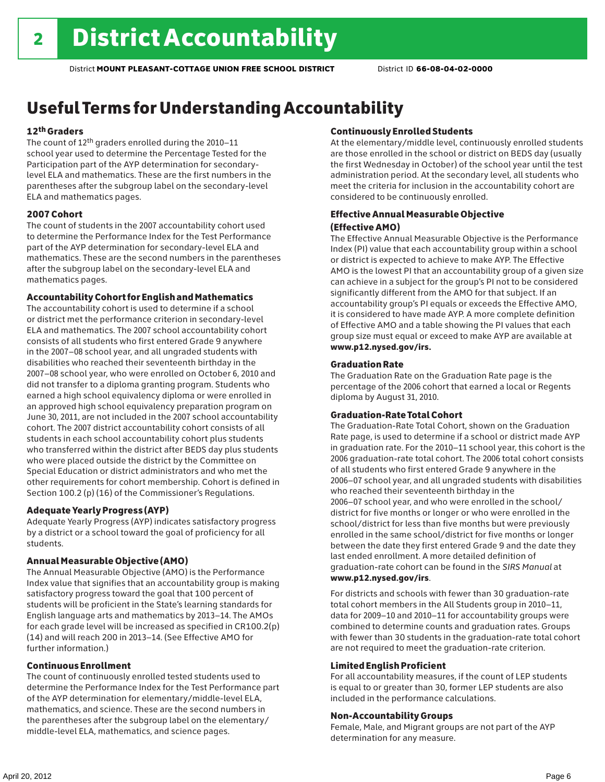# Useful Terms for Understanding Accountability

### 12th Graders

The count of 12th graders enrolled during the 2010–11 school year used to determine the Percentage Tested for the Participation part of the AYP determination for secondarylevel ELA and mathematics. These are the first numbers in the parentheses after the subgroup label on the secondary-level ELA and mathematics pages.

### 2007 Cohort

The count of students in the 2007 accountability cohort used to determine the Performance Index for the Test Performance part of the AYP determination for secondary-level ELA and mathematics. These are the second numbers in the parentheses after the subgroup label on the secondary-level ELA and mathematics pages.

### Accountability Cohort for English and Mathematics

The accountability cohort is used to determine if a school or district met the performance criterion in secondary-level ELA and mathematics. The 2007 school accountability cohort consists of all students who first entered Grade 9 anywhere in the 2007–08 school year, and all ungraded students with disabilities who reached their seventeenth birthday in the 2007–08 school year, who were enrolled on October 6, 2010 and did not transfer to a diploma granting program. Students who earned a high school equivalency diploma or were enrolled in an approved high school equivalency preparation program on June 30, 2011, are not included in the 2007 school accountability cohort. The 2007 district accountability cohort consists of all students in each school accountability cohort plus students who transferred within the district after BEDS day plus students who were placed outside the district by the Committee on Special Education or district administrators and who met the other requirements for cohort membership. Cohort is defined in Section 100.2 (p) (16) of the Commissioner's Regulations.

### Adequate Yearly Progress (AYP)

Adequate Yearly Progress (AYP) indicates satisfactory progress by a district or a school toward the goal of proficiency for all students.

### Annual Measurable Objective (AMO)

The Annual Measurable Objective (AMO) is the Performance Index value that signifies that an accountability group is making satisfactory progress toward the goal that 100 percent of students will be proficient in the State's learning standards for English language arts and mathematics by 2013–14. The AMOs for each grade level will be increased as specified in CR100.2(p) (14) and will reach 200 in 2013–14. (See Effective AMO for further information.)

### Continuous Enrollment

The count of continuously enrolled tested students used to determine the Performance Index for the Test Performance part of the AYP determination for elementary/middle-level ELA, mathematics, and science. These are the second numbers in the parentheses after the subgroup label on the elementary/ middle-level ELA, mathematics, and science pages.

### Continuously Enrolled Students

At the elementary/middle level, continuously enrolled students are those enrolled in the school or district on BEDS day (usually the first Wednesday in October) of the school year until the test administration period. At the secondary level, all students who meet the criteria for inclusion in the accountability cohort are considered to be continuously enrolled.

### Effective Annual Measurable Objective (Effective AMO)

The Effective Annual Measurable Objective is the Performance Index (PI) value that each accountability group within a school or district is expected to achieve to make AYP. The Effective AMO is the lowest PI that an accountability group of a given size can achieve in a subject for the group's PI not to be considered significantly different from the AMO for that subject. If an accountability group's PI equals or exceeds the Effective AMO, it is considered to have made AYP. A more complete definition of Effective AMO and a table showing the PI values that each group size must equal or exceed to make AYP are available at www.p12.nysed.gov/irs.

### Graduation Rate

The Graduation Rate on the Graduation Rate page is the percentage of the 2006 cohort that earned a local or Regents diploma by August 31, 2010.

### Graduation-Rate Total Cohort

The Graduation-Rate Total Cohort, shown on the Graduation Rate page, is used to determine if a school or district made AYP in graduation rate. For the 2010–11 school year, this cohort is the 2006 graduation-rate total cohort. The 2006 total cohort consists of all students who first entered Grade 9 anywhere in the 2006–07 school year, and all ungraded students with disabilities who reached their seventeenth birthday in the 2006–07 school year, and who were enrolled in the school/ district for five months or longer or who were enrolled in the school/district for less than five months but were previously enrolled in the same school/district for five months or longer between the date they first entered Grade 9 and the date they last ended enrollment. A more detailed definition of graduation-rate cohort can be found in the *SIRS Manual* at www.p12.nysed.gov/irs.

For districts and schools with fewer than 30 graduation-rate total cohort members in the All Students group in 2010–11, data for 2009–10 and 2010–11 for accountability groups were combined to determine counts and graduation rates. Groups with fewer than 30 students in the graduation-rate total cohort are not required to meet the graduation-rate criterion.

### Limited English Proficient

For all accountability measures, if the count of LEP students is equal to or greater than 30, former LEP students are also included in the performance calculations.

### Non-Accountability Groups

Female, Male, and Migrant groups are not part of the AYP determination for any measure.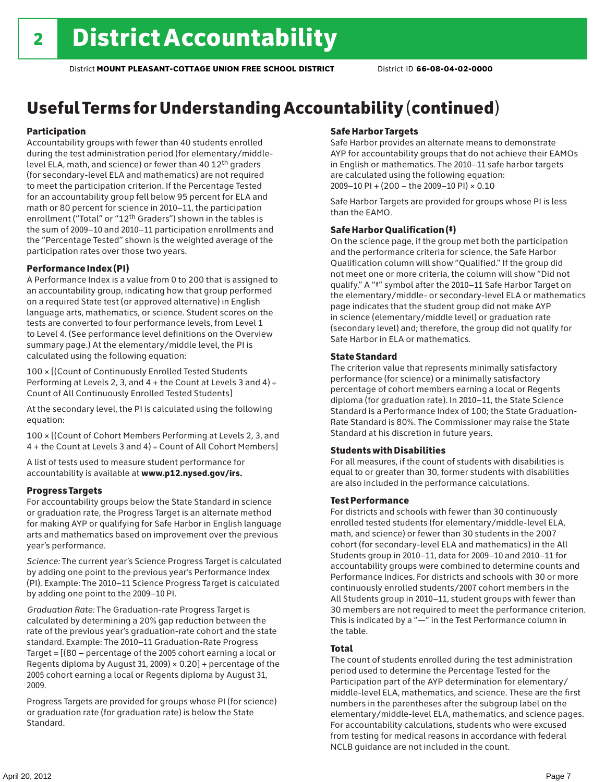# Useful Terms for Understanding Accountability (continued)

### Participation

Accountability groups with fewer than 40 students enrolled during the test administration period (for elementary/middlelevel ELA, math, and science) or fewer than 40 12th graders (for secondary-level ELA and mathematics) are not required to meet the participation criterion. If the Percentage Tested for an accountability group fell below 95 percent for ELA and math or 80 percent for science in 2010–11, the participation enrollment ("Total" or "12th Graders") shown in the tables is the sum of 2009–10 and 2010–11 participation enrollments and the "Percentage Tested" shown is the weighted average of the participation rates over those two years.

### Performance Index (PI)

A Performance Index is a value from 0 to 200 that is assigned to an accountability group, indicating how that group performed on a required State test (or approved alternative) in English language arts, mathematics, or science. Student scores on the tests are converted to four performance levels, from Level 1 to Level 4. (See performance level definitions on the Overview summary page.) At the elementary/middle level, the PI is calculated using the following equation:

100 × [(Count of Continuously Enrolled Tested Students Performing at Levels 2, 3, and 4 + the Count at Levels 3 and 4) Count of All Continuously Enrolled Tested Students]

At the secondary level, the PI is calculated using the following equation:

100 × [(Count of Cohort Members Performing at Levels 2, 3, and 4 + the Count at Levels 3 and 4) Count of All Cohort Members]

A list of tests used to measure student performance for accountability is available at www.p12.nysed.gov/irs.

### Progress Targets

For accountability groups below the State Standard in science or graduation rate, the Progress Target is an alternate method for making AYP or qualifying for Safe Harbor in English language arts and mathematics based on improvement over the previous year's performance.

*Science:* The current year's Science Progress Target is calculated by adding one point to the previous year's Performance Index (PI). Example: The 2010–11 Science Progress Target is calculated by adding one point to the 2009–10 PI.

*Graduation Rate:* The Graduation-rate Progress Target is calculated by determining a 20% gap reduction between the rate of the previous year's graduation-rate cohort and the state standard. Example: The 2010–11 Graduation-Rate Progress Target = [(80 – percentage of the 2005 cohort earning a local or Regents diploma by August 31, 2009)  $\times$  0.20] + percentage of the 2005 cohort earning a local or Regents diploma by August 31, 2009.

Progress Targets are provided for groups whose PI (for science) or graduation rate (for graduation rate) is below the State Standard.

### Safe Harbor Targets

Safe Harbor provides an alternate means to demonstrate AYP for accountability groups that do not achieve their EAMOs in English or mathematics. The 2010–11 safe harbor targets are calculated using the following equation: 2009–10 PI + (200 – the 2009–10 PI) × 0.10

Safe Harbor Targets are provided for groups whose PI is less than the EAMO.

### Safe Harbor Qualification (‡)

On the science page, if the group met both the participation and the performance criteria for science, the Safe Harbor Qualification column will show "Qualified." If the group did not meet one or more criteria, the column will show "Did not qualify." A "‡" symbol after the 2010–11 Safe Harbor Target on the elementary/middle- or secondary-level ELA or mathematics page indicates that the student group did not make AYP in science (elementary/middle level) or graduation rate (secondary level) and; therefore, the group did not qualify for Safe Harbor in ELA or mathematics.

### State Standard

The criterion value that represents minimally satisfactory performance (for science) or a minimally satisfactory percentage of cohort members earning a local or Regents diploma (for graduation rate). In 2010–11, the State Science Standard is a Performance Index of 100; the State Graduation-Rate Standard is 80%. The Commissioner may raise the State Standard at his discretion in future years.

### Students with Disabilities

For all measures, if the count of students with disabilities is equal to or greater than 30, former students with disabilities are also included in the performance calculations.

### Test Performance

For districts and schools with fewer than 30 continuously enrolled tested students (for elementary/middle-level ELA, math, and science) or fewer than 30 students in the 2007 cohort (for secondary-level ELA and mathematics) in the All Students group in 2010–11, data for 2009–10 and 2010–11 for accountability groups were combined to determine counts and Performance Indices. For districts and schools with 30 or more continuously enrolled students/2007 cohort members in the All Students group in 2010–11, student groups with fewer than 30 members are not required to meet the performance criterion. This is indicated by a "—" in the Test Performance column in the table.

### Total

The count of students enrolled during the test administration period used to determine the Percentage Tested for the Participation part of the AYP determination for elementary/ middle-level ELA, mathematics, and science. These are the first numbers in the parentheses after the subgroup label on the elementary/middle-level ELA, mathematics, and science pages. For accountability calculations, students who were excused from testing for medical reasons in accordance with federal NCLB guidance are not included in the count.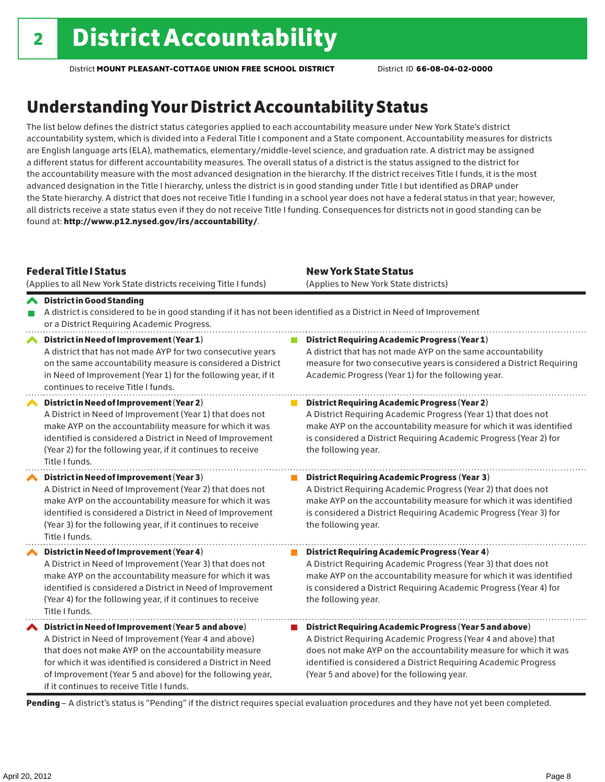# Understanding Your District Accountability Status

The list below defines the district status categories applied to each accountability measure under New York State's district accountability system, which is divided into a Federal Title I component and a State component. Accountability measures for districts are English language arts (ELA), mathematics, elementary/middle-level science, and graduation rate. A district may be assigned a different status for different accountability measures. The overall status of a district is the status assigned to the district for the accountability measure with the most advanced designation in the hierarchy. If the district receives Title I funds, it is the most advanced designation in the Title I hierarchy, unless the district is in good standing under Title I but identified as DRAP under the State hierarchy. A district that does not receive Title I funding in a school year does not have a federal status in that year; however, all districts receive a state status even if they do not receive Title I funding. Consequences for districts not in good standing can be found at: http://www.p12.nysed.gov/irs/accountability/.

| <b>Federal Title I Status</b><br>(Applies to all New York State districts receiving Title I funds)                                                                                                                                                                                                                                             | <b>New York State Status</b><br>(Applies to New York State districts)                                                                                                                                                                                                                                          |  |  |  |  |
|------------------------------------------------------------------------------------------------------------------------------------------------------------------------------------------------------------------------------------------------------------------------------------------------------------------------------------------------|----------------------------------------------------------------------------------------------------------------------------------------------------------------------------------------------------------------------------------------------------------------------------------------------------------------|--|--|--|--|
| <b>◆</b> District in Good Standing<br>A district is considered to be in good standing if it has not been identified as a District in Need of Improvement<br>or a District Requiring Academic Progress.                                                                                                                                         |                                                                                                                                                                                                                                                                                                                |  |  |  |  |
| District in Need of Improvement (Year 1)<br>∧<br>A district that has not made AYP for two consecutive years<br>on the same accountability measure is considered a District<br>in Need of Improvement (Year 1) for the following year, if it<br>continues to receive Title I funds.                                                             | <b>District Requiring Academic Progress (Year 1)</b><br>A district that has not made AYP on the same accountability<br>measure for two consecutive years is considered a District Requiring<br>Academic Progress (Year 1) for the following year.                                                              |  |  |  |  |
| District in Need of Improvement (Year 2)<br>A District in Need of Improvement (Year 1) that does not<br>make AYP on the accountability measure for which it was<br>identified is considered a District in Need of Improvement<br>(Year 2) for the following year, if it continues to receive<br>Title I funds.                                 | <b>District Requiring Academic Progress (Year 2)</b><br>A District Requiring Academic Progress (Year 1) that does not<br>make AYP on the accountability measure for which it was identified<br>is considered a District Requiring Academic Progress (Year 2) for<br>the following year.                        |  |  |  |  |
| District in Need of Improvement (Year 3)<br>A District in Need of Improvement (Year 2) that does not<br>make AYP on the accountability measure for which it was<br>identified is considered a District in Need of Improvement<br>(Year 3) for the following year, if it continues to receive<br>Title I funds.                                 | <b>District Requiring Academic Progress (Year 3)</b><br>A District Requiring Academic Progress (Year 2) that does not<br>make AYP on the accountability measure for which it was identified<br>is considered a District Requiring Academic Progress (Year 3) for<br>the following year.                        |  |  |  |  |
| District in Need of Improvement (Year 4)<br>A District in Need of Improvement (Year 3) that does not<br>make AYP on the accountability measure for which it was<br>identified is considered a District in Need of Improvement<br>(Year 4) for the following year, if it continues to receive<br>Title I funds.                                 | <b>District Requiring Academic Progress (Year 4)</b><br>A District Requiring Academic Progress (Year 3) that does not<br>make AYP on the accountability measure for which it was identified<br>is considered a District Requiring Academic Progress (Year 4) for<br>the following year.                        |  |  |  |  |
| ◆ District in Need of Improvement (Year 5 and above)<br>A District in Need of Improvement (Year 4 and above)<br>that does not make AYP on the accountability measure<br>for which it was identified is considered a District in Need<br>of Improvement (Year 5 and above) for the following year,<br>if it continues to receive Title I funds. | District Requiring Academic Progress (Year 5 and above)<br>A District Requiring Academic Progress (Year 4 and above) that<br>does not make AYP on the accountability measure for which it was<br>identified is considered a District Requiring Academic Progress<br>(Year 5 and above) for the following year. |  |  |  |  |

Pending - A district's status is "Pending" if the district requires special evaluation procedures and they have not yet been completed.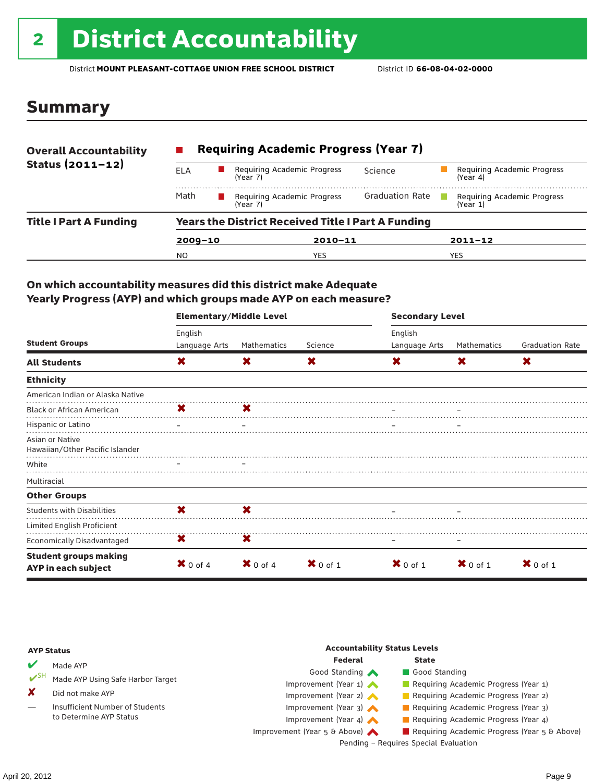# 2 District Accountability

District **MOUNT PLEASANT-COTTAGE UNION FREE SCHOOL DISTRICT** District ID **66-08-04-02-0000**

## Summary

| <b>Overall Accountability</b> | <b>Requiring Academic Progress (Year 7)</b>               |                                         |                        |                                         |  |  |
|-------------------------------|-----------------------------------------------------------|-----------------------------------------|------------------------|-----------------------------------------|--|--|
| Status $(2011 - 12)$          | ELA                                                       | Requiring Academic Progress<br>(Year 7) | Science                | Requiring Academic Progress<br>(Year 4) |  |  |
|                               | Math                                                      | Requiring Academic Progress<br>(Year 7) | <b>Graduation Rate</b> | Requiring Academic Progress<br>(Year 1) |  |  |
| <b>Title I Part A Funding</b> | <b>Years the District Received Title I Part A Funding</b> |                                         |                        |                                         |  |  |
|                               | $2009 - 10$                                               | $2010 - 11$                             |                        | $2011 - 12$                             |  |  |
|                               | N <sub>O</sub>                                            | <b>YES</b>                              |                        | <b>YES</b>                              |  |  |

### On which accountability measures did this district make Adequate Yearly Progress (AYP) and which groups made AYP on each measure?

|                                                     | <b>Elementary/Middle Level</b> |                     |            |               | <b>Secondary Level</b> |                        |  |  |
|-----------------------------------------------------|--------------------------------|---------------------|------------|---------------|------------------------|------------------------|--|--|
|                                                     | English                        |                     |            | English       |                        |                        |  |  |
| <b>Student Groups</b>                               | Language Arts                  | Mathematics         | Science    | Language Arts | Mathematics            | <b>Graduation Rate</b> |  |  |
| <b>All Students</b>                                 | X                              | X                   | X          | X             | X                      | X                      |  |  |
| <b>Ethnicity</b>                                    |                                |                     |            |               |                        |                        |  |  |
| American Indian or Alaska Native                    |                                |                     |            |               |                        |                        |  |  |
| <b>Black or African American</b>                    | <b>X</b>                       | X                   |            |               |                        |                        |  |  |
| Hispanic or Latino                                  |                                |                     |            |               |                        |                        |  |  |
| Asian or Native<br>Hawaiian/Other Pacific Islander  |                                |                     |            |               |                        |                        |  |  |
| White                                               |                                |                     |            |               |                        |                        |  |  |
| Multiracial                                         |                                |                     |            |               |                        |                        |  |  |
| <b>Other Groups</b>                                 |                                |                     |            |               |                        |                        |  |  |
| <b>Students with Disabilities</b>                   | X                              | ×                   |            |               |                        |                        |  |  |
| Limited English Proficient                          |                                |                     |            |               |                        |                        |  |  |
| Economically Disadvantaged                          | X                              | X                   |            |               |                        |                        |  |  |
| <b>Student groups making</b><br>AYP in each subject | $\mathbf{X}$ 0 of 4            | $\mathbf{X}$ 0 of 4 | $X$ 0 of 1 | $X$ 0 of 1    | $X$ 0 of 1             | $\mathbf{X}$ 0 of 1    |  |  |

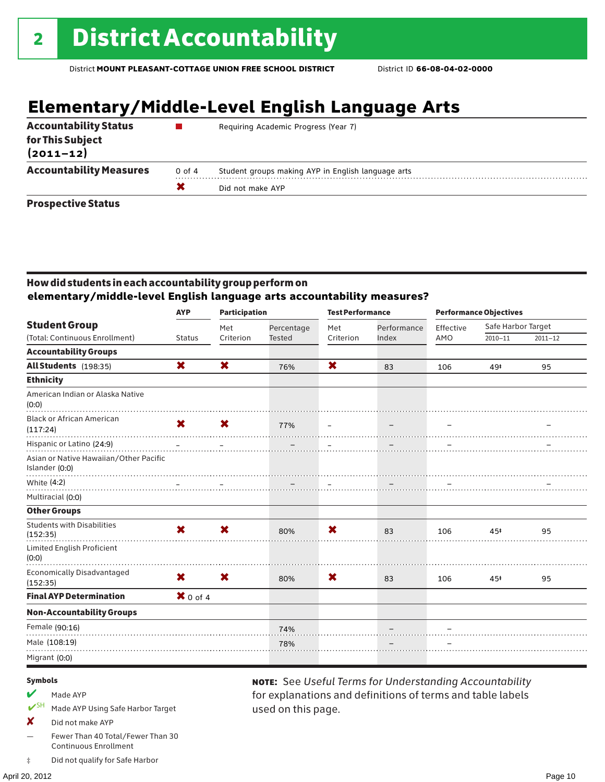# **Elementary/Middle-Level English Language Arts**

| <b>Accountability Status</b><br>for This Subject<br>$(2011 - 12)$ |        | Requiring Academic Progress (Year 7)               |
|-------------------------------------------------------------------|--------|----------------------------------------------------|
| <b>Accountability Measures</b>                                    | 0 of 4 | Student groups making AYP in English language arts |
|                                                                   |        | Did not make AYP                                   |
| <b>Prospective Status</b>                                         |        |                                                    |

### How did students in each accountability group perform on **elementary/middle-level English language arts accountability measures?**

|                                                          | <b>AYP</b>                | <b>Participation</b>      |               | <b>Test Performance</b> |             | <b>Performance Objectives</b> |                    |             |
|----------------------------------------------------------|---------------------------|---------------------------|---------------|-------------------------|-------------|-------------------------------|--------------------|-------------|
| <b>Student Group</b>                                     |                           | Met                       | Percentage    | Met                     | Performance | Effective                     | Safe Harbor Target |             |
| (Total: Continuous Enrollment)                           | <b>Status</b>             | Criterion                 | <b>Tested</b> | Criterion               | Index       | AMO                           | $2010 - 11$        | $2011 - 12$ |
| <b>Accountability Groups</b>                             |                           |                           |               |                         |             |                               |                    |             |
| All Students (198:35)                                    | X                         | X                         | 76%           | X                       | 83          | 106                           | 49#                | 95          |
| <b>Ethnicity</b>                                         |                           |                           |               |                         |             |                               |                    |             |
| American Indian or Alaska Native<br>(0:0)                |                           |                           |               |                         |             |                               |                    |             |
| <b>Black or African American</b><br>(117:24)             | $\mathbf x$               | $\boldsymbol{\mathsf{x}}$ | 77%           | $\equiv$                |             |                               |                    |             |
| Hispanic or Latino (24:9)                                |                           |                           |               |                         |             |                               |                    |             |
| Asian or Native Hawaiian/Other Pacific<br>Islander (0:0) |                           |                           |               |                         |             |                               |                    |             |
| White (4:2)                                              |                           |                           |               |                         |             |                               |                    |             |
| Multiracial (0:0)                                        |                           |                           |               |                         |             |                               |                    |             |
| <b>Other Groups</b>                                      |                           |                           |               |                         |             |                               |                    |             |
| <b>Students with Disabilities</b><br>(152:35)            | $\boldsymbol{\mathsf{x}}$ | $\boldsymbol{\mathsf{x}}$ | 80%           | X                       | 83          | 106                           | 45#                | 95          |
| Limited English Proficient<br>(0:0)                      |                           |                           |               |                         |             |                               |                    |             |
| <b>Economically Disadvantaged</b><br>(152:35)            | X.                        | $\bm{x}$                  | 80%           | X                       | 83          | 106                           | 45#                | 95          |
| <b>Final AYP Determination</b>                           | $X$ 0 of 4                |                           |               |                         |             |                               |                    |             |
| <b>Non-Accountability Groups</b>                         |                           |                           |               |                         |             |                               |                    |             |
| Female (90:16)                                           |                           |                           | 74%           |                         |             |                               |                    |             |
| Male (108:19)                                            |                           |                           | 78%           |                         |             |                               |                    |             |
| Migrant (0:0)                                            |                           |                           |               |                         |             |                               |                    |             |
|                                                          |                           |                           |               |                         |             |                               |                    |             |

used on this page.

note: See *Useful Terms for Understanding Accountability*  for explanations and definitions of terms and table labels

### Symbols

- $M$  Made AYP
- ✔SH Made AYP Using Safe Harbor Target
- X Did not make AYP
- Fewer Than 40 Total/Fewer Than 30 Continuous Enrollment
- ‡ Did not qualify for Safe Harbor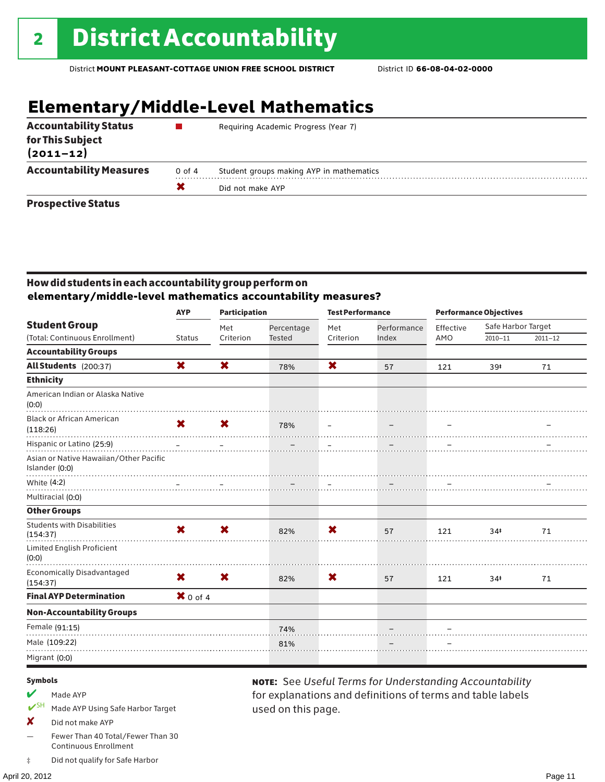# **Elementary/Middle-Level Mathematics**

| <b>Accountability Status</b>      |        | Requiring Academic Progress (Year 7)     |
|-----------------------------------|--------|------------------------------------------|
| for This Subject<br>$(2011 - 12)$ |        |                                          |
| <b>Accountability Measures</b>    | 0 of 4 | Student groups making AYP in mathematics |
|                                   |        | Did not make AYP                         |
| <b>Prospective Status</b>         |        |                                          |

### How did students in each accountability group perform on **elementary/middle-level mathematics accountability measures?**

|                                                          | <b>AYP</b>    | <b>Participation</b> |               | <b>Test Performance</b>  |                   | <b>Performance Objectives</b> |                    |             |
|----------------------------------------------------------|---------------|----------------------|---------------|--------------------------|-------------------|-------------------------------|--------------------|-------------|
| <b>Student Group</b>                                     |               | Met                  | Percentage    | Met                      | Performance       | Effective                     | Safe Harbor Target |             |
| (Total: Continuous Enrollment)                           | <b>Status</b> | Criterion            | <b>Tested</b> | Criterion                | Index             | AMO                           | $2010 - 11$        | $2011 - 12$ |
| <b>Accountability Groups</b>                             |               |                      |               |                          |                   |                               |                    |             |
| All Students (200:37)                                    | X             | X                    | 78%           | X                        | 57                | 121                           | 39‡                | 71          |
| <b>Ethnicity</b>                                         |               |                      |               |                          |                   |                               |                    |             |
| American Indian or Alaska Native<br>(0:0)                |               |                      |               |                          |                   |                               |                    |             |
| <b>Black or African American</b><br>(118:26)             | $\mathbf x$   | <b>X</b>             | 78%           | $\overline{\phantom{m}}$ | $\qquad \qquad -$ |                               |                    |             |
| Hispanic or Latino (25:9)                                |               |                      |               |                          |                   |                               |                    |             |
| Asian or Native Hawaiian/Other Pacific<br>Islander (0:0) |               |                      |               |                          |                   |                               |                    |             |
| White (4:2)                                              |               |                      |               |                          |                   |                               |                    |             |
| Multiracial (0:0)                                        |               |                      |               |                          |                   |                               |                    |             |
| <b>Other Groups</b>                                      |               |                      |               |                          |                   |                               |                    |             |
| <b>Students with Disabilities</b><br>(154:37)            | X             | X                    | 82%           | X                        | 57                | 121                           | 34 <sup>‡</sup>    | 71          |
| Limited English Proficient<br>(0:0)                      |               |                      |               |                          |                   |                               |                    |             |
| <b>Economically Disadvantaged</b><br>(154:37)            | $\mathbf x$   | <b>X</b>             | 82%           | X                        | 57                | 121                           | 34 <sup>†</sup>    | 71          |
| <b>Final AYP Determination</b>                           | $X$ 0 of 4    |                      |               |                          |                   |                               |                    |             |
| <b>Non-Accountability Groups</b>                         |               |                      |               |                          |                   |                               |                    |             |
| Female (91:15)                                           |               |                      | 74%           |                          |                   |                               |                    |             |
| Male (109:22)                                            |               |                      | 81%           |                          |                   |                               |                    |             |
| Migrant (0:0)                                            |               |                      |               |                          |                   |                               |                    |             |
|                                                          |               |                      |               |                          |                   |                               |                    |             |

used on this page.

note: See *Useful Terms for Understanding Accountability*  for explanations and definitions of terms and table labels

#### Symbols

- $M$  Made AYP
- ✔SH Made AYP Using Safe Harbor Target
- X Did not make AYP
- Fewer Than 40 Total/Fewer Than 30 Continuous Enrollment
- ‡ Did not qualify for Safe Harbor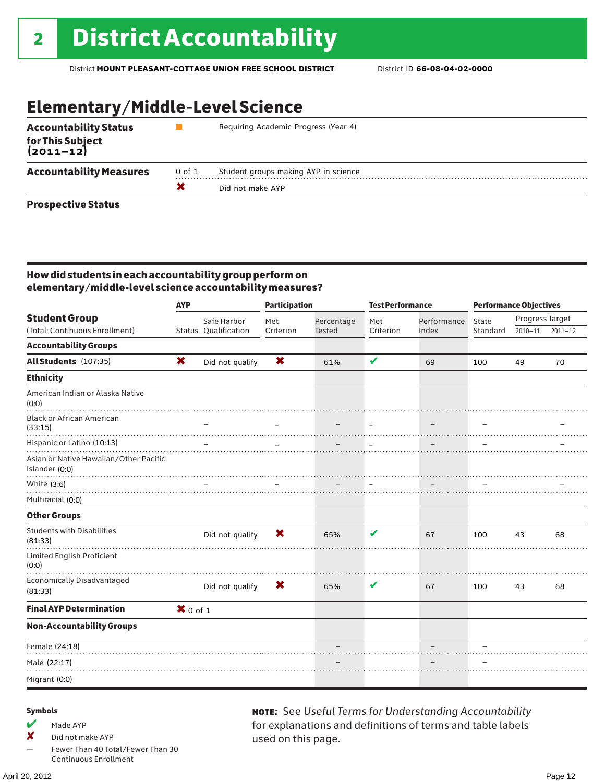# Elementary/Middle-Level Science

| <b>Accountability Status</b><br>for This Subject<br>(2011–12)                                                  |        | Requiring Academic Progress (Year 4) |
|----------------------------------------------------------------------------------------------------------------|--------|--------------------------------------|
| <b>Accountability Measures</b>                                                                                 | 0 of 1 | Student groups making AYP in science |
|                                                                                                                |        | Did not make AYP                     |
| Box of the state of the state of the state of the state of the state of the state of the state of the state of |        |                                      |

### Prospective Status

### How did students in each accountability group perform on elementary/middle-level science accountability measures?

|                                                          | <b>AYP</b> |                      | <b>Participation</b> |               | <b>Test Performance</b> |             | <b>Performance Objectives</b> |                 |             |
|----------------------------------------------------------|------------|----------------------|----------------------|---------------|-------------------------|-------------|-------------------------------|-----------------|-------------|
| <b>Student Group</b>                                     |            | Safe Harbor          | Met                  | Percentage    | Met                     | Performance | State                         | Progress Target |             |
| (Total: Continuous Enrollment)                           |            | Status Qualification | Criterion            | <b>Tested</b> | Criterion               | Index       | Standard                      | $2010 - 11$     | $2011 - 12$ |
| <b>Accountability Groups</b>                             |            |                      |                      |               |                         |             |                               |                 |             |
| All Students (107:35)                                    | X          | Did not qualify      | X                    | 61%           | V                       | 69          | 100                           | 49              | 70          |
| <b>Ethnicity</b>                                         |            |                      |                      |               |                         |             |                               |                 |             |
| American Indian or Alaska Native<br>(0:0)                |            |                      |                      |               |                         |             |                               |                 |             |
| <b>Black or African American</b><br>(33:15)              |            |                      |                      |               | $\equiv$                |             |                               |                 |             |
| Hispanic or Latino (10:13)                               |            |                      |                      |               |                         |             |                               |                 |             |
| Asian or Native Hawaiian/Other Pacific<br>Islander (0:0) | .          |                      |                      |               |                         |             |                               |                 |             |
| White (3:6)                                              |            |                      |                      |               |                         |             |                               |                 |             |
| Multiracial (0:0)                                        |            |                      |                      |               |                         |             |                               |                 |             |
| <b>Other Groups</b>                                      |            |                      |                      |               |                         |             |                               |                 |             |
| <b>Students with Disabilities</b><br>(81:33)             |            | Did not qualify      | X                    | 65%           | V                       | 67          | 100                           | 43              | 68          |
| Limited English Proficient<br>(0:0)                      |            |                      |                      |               |                         |             |                               |                 |             |
| <b>Economically Disadvantaged</b><br>(81:33)             |            | Did not qualify      | X                    | 65%           | V                       | 67          | 100                           | 43              | 68          |
| <b>Final AYP Determination</b>                           | $X$ 0 of 1 |                      |                      |               |                         |             |                               |                 |             |
| <b>Non-Accountability Groups</b>                         |            |                      |                      |               |                         |             |                               |                 |             |
| Female (24:18)                                           |            |                      |                      |               |                         |             |                               |                 |             |
| Male (22:17)                                             |            |                      |                      |               |                         |             |                               |                 |             |
| Migrant (0:0)                                            |            |                      |                      |               |                         |             |                               |                 |             |

### Symbols

 $M$  Made AYP

✘ Did not make AYP

Fewer Than 40 Total/Fewer Than 30 Continuous Enrollment

note: See *Useful Terms for Understanding Accountability*  for explanations and definitions of terms and table labels used on this page.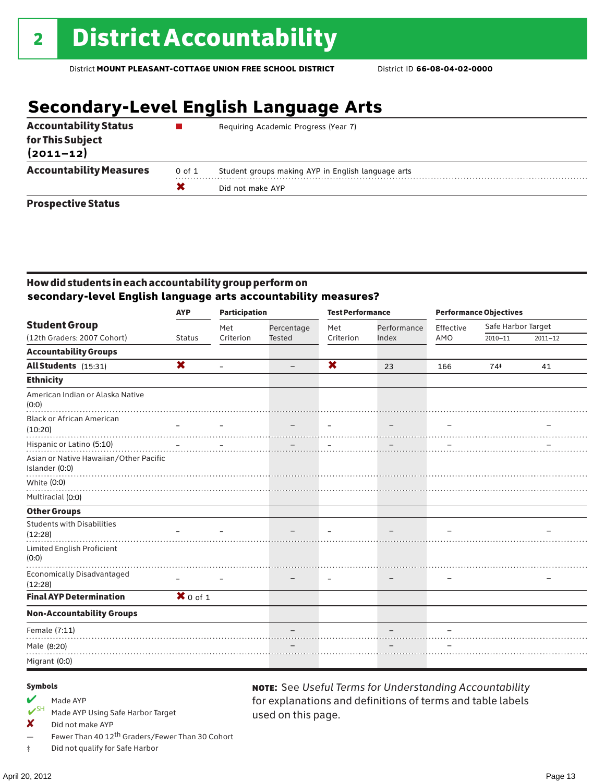# **Secondary-Level English Language Arts**

| <b>Accountability Status</b>      |        | Requiring Academic Progress (Year 7)               |
|-----------------------------------|--------|----------------------------------------------------|
| for This Subject<br>$(2011 - 12)$ |        |                                                    |
| <b>Accountability Measures</b>    | 0 of 1 | Student groups making AYP in English language arts |
|                                   |        | Did not make AYP                                   |
| <b>Prospective Status</b>         |        |                                                    |

### How did students in each accountability group perform on **secondary-level English language arts accountability measures?**

|                                                                                       | <b>AYP</b>                | <b>Participation</b> |                   | <b>Test Performance</b>  |                          | <b>Performance Objectives</b> |                    |             |
|---------------------------------------------------------------------------------------|---------------------------|----------------------|-------------------|--------------------------|--------------------------|-------------------------------|--------------------|-------------|
| <b>Student Group</b>                                                                  |                           | Met                  | Percentage        | Met                      | Performance              | Effective                     | Safe Harbor Target |             |
| (12th Graders: 2007 Cohort)                                                           | <b>Status</b>             | Criterion            | <b>Tested</b>     | Criterion                | Index                    | AMO                           | $2010 - 11$        | $2011 - 12$ |
| <b>Accountability Groups</b>                                                          |                           |                      |                   |                          |                          |                               |                    |             |
| All Students (15:31)                                                                  | $\boldsymbol{\mathsf{x}}$ |                      | $\qquad \qquad -$ | X                        | 23                       | 166                           | 74#                | 41          |
| <b>Ethnicity</b>                                                                      |                           |                      |                   |                          |                          |                               |                    |             |
| American Indian or Alaska Native<br>(0:0)                                             |                           |                      |                   |                          |                          |                               |                    |             |
| <b>Black or African American</b><br>(10:20)                                           |                           |                      | -                 | $\overline{\phantom{m}}$ | $\overline{\phantom{m}}$ |                               |                    |             |
| Hispanic or Latino (5:10)<br>Asian or Native Hawaiian/Other Pacific<br>Islander (0:0) |                           |                      | アンティー・データ こうしょうかい |                          |                          |                               |                    |             |
| White (0:0)                                                                           |                           |                      |                   |                          |                          |                               |                    |             |
| Multiracial (0:0)                                                                     |                           |                      |                   |                          |                          |                               |                    |             |
| <b>Other Groups</b>                                                                   |                           |                      |                   |                          |                          |                               |                    |             |
| <b>Students with Disabilities</b><br>(12:28)                                          |                           |                      |                   |                          |                          |                               |                    |             |
| Limited English Proficient<br>(0:0)                                                   |                           |                      |                   |                          |                          |                               |                    |             |
| <b>Economically Disadvantaged</b><br>(12:28)                                          |                           |                      |                   | $\overline{\phantom{0}}$ |                          |                               |                    |             |
| <b>Final AYP Determination</b>                                                        | $X$ 0 of 1                |                      |                   |                          |                          |                               |                    |             |
| <b>Non-Accountability Groups</b>                                                      |                           |                      |                   |                          |                          |                               |                    |             |
| Female (7:11)                                                                         |                           |                      |                   |                          |                          |                               |                    |             |
| Male (8:20)                                                                           |                           |                      |                   |                          |                          |                               |                    |             |
| Migrant (0:0)                                                                         |                           |                      |                   |                          |                          |                               |                    |             |

used on this page.

note: See *Useful Terms for Understanding Accountability*  for explanations and definitions of terms and table labels

#### Symbols

- Made AYP<br> **V**SH Made AVP
- Made AYP Using Safe Harbor Target
- X Did not make AYP
- Fewer Than 40 12<sup>th</sup> Graders/Fewer Than 30 Cohort
- ‡ Did not qualify for Safe Harbor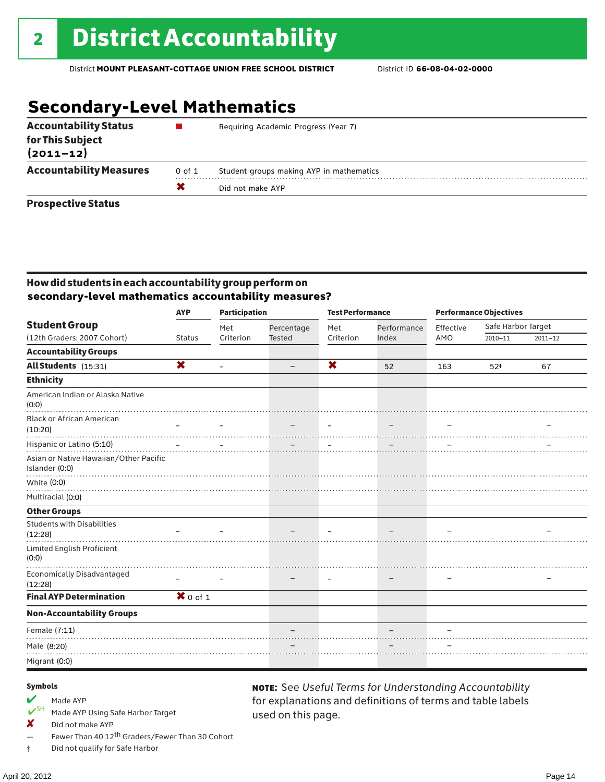# **Secondary-Level Mathematics**

| <b>Accountability Status</b><br>for This Subject<br>$(2011 - 12)$ |        | Requiring Academic Progress (Year 7)     |
|-------------------------------------------------------------------|--------|------------------------------------------|
| <b>Accountability Measures</b>                                    | 0 of 1 | Student groups making AYP in mathematics |
|                                                                   |        | Did not make AYP                         |
| <b>Prospective Status</b>                                         |        |                                          |

### How did students in each accountability group perform on **secondary-level mathematics accountability measures?**

|                                                                                       | <b>AYP</b>    | <b>Participation</b>     |               | <b>Test Performance</b>   |                          | <b>Performance Objectives</b> |                    |             |
|---------------------------------------------------------------------------------------|---------------|--------------------------|---------------|---------------------------|--------------------------|-------------------------------|--------------------|-------------|
| <b>Student Group</b>                                                                  |               | Met                      | Percentage    | Met                       | Performance              | Effective                     | Safe Harbor Target |             |
| (12th Graders: 2007 Cohort)                                                           | <b>Status</b> | Criterion                | <b>Tested</b> | Criterion                 | Index                    | AMO                           | $2010 - 11$        | $2011 - 12$ |
| <b>Accountability Groups</b>                                                          |               |                          |               |                           |                          |                               |                    |             |
| All Students (15:31)                                                                  | X             | $\overline{\phantom{m}}$ |               | $\boldsymbol{\mathsf{x}}$ | 52                       | 163                           | $52*$              | 67          |
| <b>Ethnicity</b>                                                                      |               |                          |               |                           |                          |                               |                    |             |
| American Indian or Alaska Native<br>(0:0)                                             |               |                          |               |                           |                          |                               |                    |             |
| <b>Black or African American</b>                                                      |               |                          |               |                           |                          |                               |                    |             |
| (10:20)                                                                               |               |                          |               | $\overline{\phantom{m}}$  | $\overline{\phantom{m}}$ |                               |                    |             |
| Hispanic or Latino (5:10)<br>Asian or Native Hawaiian/Other Pacific<br>Islander (0:0) |               |                          |               |                           |                          |                               |                    |             |
| White (0:0)                                                                           |               |                          |               |                           |                          |                               |                    |             |
| Multiracial (0:0)                                                                     |               |                          |               |                           |                          |                               |                    |             |
| <b>Other Groups</b>                                                                   |               |                          |               |                           |                          |                               |                    |             |
| <b>Students with Disabilities</b><br>(12:28)                                          |               |                          |               |                           |                          |                               |                    |             |
| <b>Limited English Proficient</b><br>(0:0)                                            |               |                          |               |                           |                          |                               |                    |             |
| <b>Economically Disadvantaged</b><br>(12:28)                                          |               |                          |               |                           |                          |                               |                    |             |
| <b>Final AYP Determination</b>                                                        | $X$ 0 of 1    |                          |               |                           |                          |                               |                    |             |
| <b>Non-Accountability Groups</b>                                                      |               |                          |               |                           |                          |                               |                    |             |
| Female (7:11)                                                                         |               |                          |               |                           |                          |                               |                    |             |
| Male (8:20)                                                                           |               |                          |               |                           |                          |                               |                    |             |
| Migrant (0:0)                                                                         |               |                          |               |                           |                          |                               |                    |             |

used on this page.

note: See *Useful Terms for Understanding Accountability*  for explanations and definitions of terms and table labels

#### Symbols

- Made AYP<br> **V**SH Made AVP
- Made AYP Using Safe Harbor Target
- ✘ Did not make AYP
- Fewer Than 40 12<sup>th</sup> Graders/Fewer Than 30 Cohort
- ‡ Did not qualify for Safe Harbor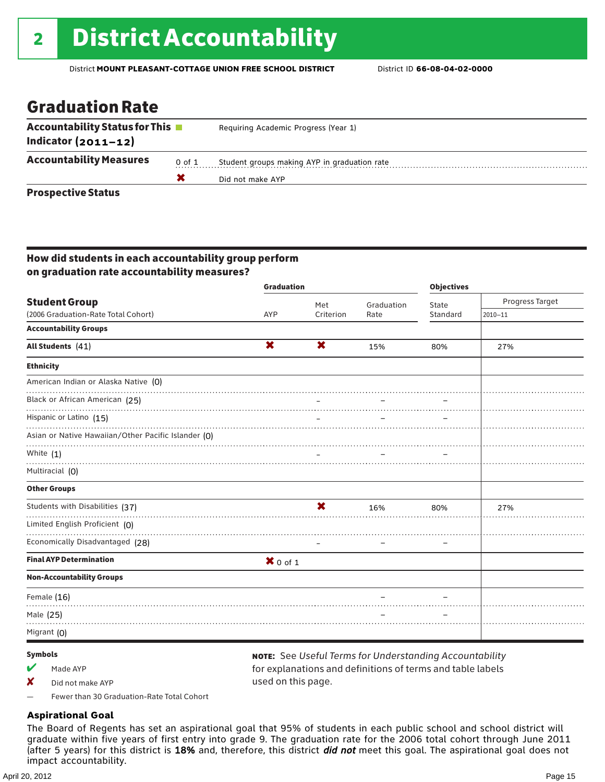# 2 **District Accountability**

District **MOUNT PLEASANT-COTTAGE UNION FREE SCHOOL DISTRICT** District ID **66-08-04-02-0000**

## Graduation Rate

| <b>Accountability Status for This</b> ■ |            | Requiring Academic Progress (Year 1)         |  |  |  |
|-----------------------------------------|------------|----------------------------------------------|--|--|--|
| Indicator $(2011 - 12)$                 |            |                                              |  |  |  |
| <b>Accountability Measures</b>          | $0$ of $1$ | Student groups making AYP in graduation rate |  |  |  |
|                                         |            | Did not make AYP                             |  |  |  |
| <b>Prospective Status</b>               |            |                                              |  |  |  |

### How did students in each accountability group perform on graduation rate accountability measures?

|                                                     | <b>Graduation</b>         |                           |            | <b>Objectives</b>        |                 |  |
|-----------------------------------------------------|---------------------------|---------------------------|------------|--------------------------|-----------------|--|
| <b>Student Group</b>                                |                           | Met                       | Graduation | State                    | Progress Target |  |
| (2006 Graduation-Rate Total Cohort)                 | AYP                       | Criterion                 | Rate       | Standard                 | $2010 - 11$     |  |
| <b>Accountability Groups</b>                        |                           |                           |            |                          |                 |  |
| All Students (41)                                   | $\boldsymbol{\mathsf{x}}$ | $\mathbf x$               | 15%        | 80%                      | 27%             |  |
| <b>Ethnicity</b>                                    |                           |                           |            |                          |                 |  |
| American Indian or Alaska Native (0)                |                           |                           |            |                          |                 |  |
| Black or African American (25)                      |                           |                           |            |                          |                 |  |
| Hispanic or Latino (15)                             |                           |                           |            |                          |                 |  |
| Asian or Native Hawaiian/Other Pacific Islander (0) |                           |                           |            |                          |                 |  |
| White $(1)$                                         |                           |                           |            |                          |                 |  |
| Multiracial (0)                                     |                           |                           |            |                          |                 |  |
| <b>Other Groups</b>                                 |                           |                           |            |                          |                 |  |
| Students with Disabilities (37)                     |                           | $\boldsymbol{\mathsf{x}}$ | 16%        | 80%                      | 27%             |  |
| Limited English Proficient (0)                      |                           |                           |            |                          |                 |  |
| Economically Disadvantaged (28)                     |                           |                           |            | $\overline{\phantom{0}}$ |                 |  |
| <b>Final AYP Determination</b>                      | $X$ 0 of 1                |                           |            |                          |                 |  |
| <b>Non-Accountability Groups</b>                    |                           |                           |            |                          |                 |  |
| Female (16)                                         |                           |                           |            |                          |                 |  |
| Male (25)                                           |                           |                           |            |                          |                 |  |
| Migrant (0)                                         |                           |                           |            |                          |                 |  |

### Symbols

 $M$  Made AYP

✘ Did not make AYP

note: See *Useful Terms for Understanding Accountability*  for explanations and definitions of terms and table labels used on this page.

— Fewer than 30 Graduation-Rate Total Cohort

### **Aspirational Goal**

The Board of Regents has set an aspirational goal that 95% of students in each public school and school district will graduate within five years of first entry into grade 9. The graduation rate for the 2006 total cohort through June 2011 (after 5 years) for this district is 18% and, therefore, this district *did not* meet this goal. The aspirational goal does not impact accountability.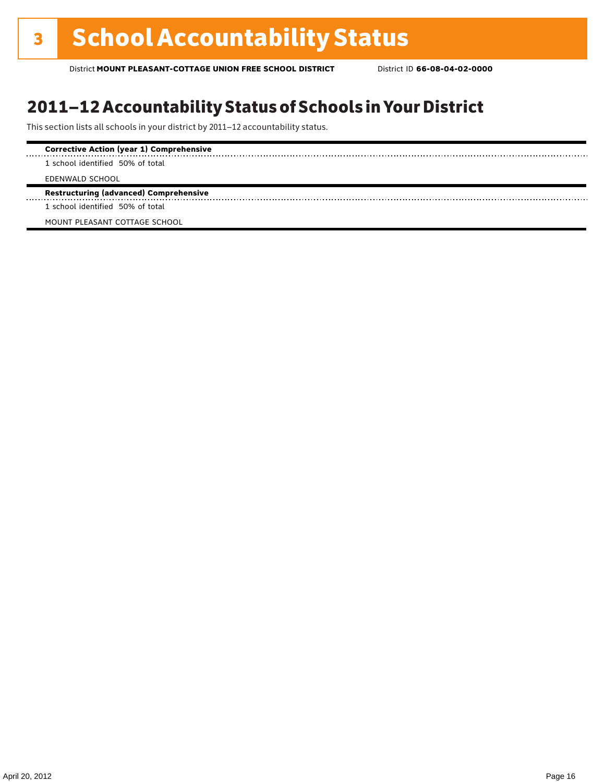# 2011–12 Accountability Status of Schools in Your District

This section lists all schools in your district by 2011–12 accountability status.

| <b>Corrective Action (year 1) Comprehensive</b> |
|-------------------------------------------------|
| 1 school identified 50% of total                |
| EDENWALD SCHOOL                                 |
| <b>Restructuring (advanced) Comprehensive</b>   |
| 1 school identified 50% of total                |
| MOUNT PLEASANT COTTAGE SCHOOL                   |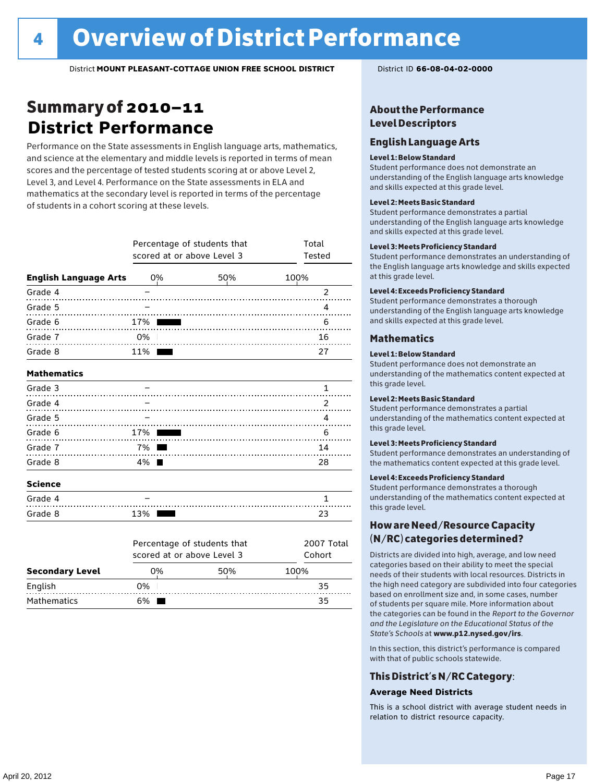# Summary of 2010–11 **District Performance**

Performance on the State assessments in English language arts, mathematics, and science at the elementary and middle levels is reported in terms of mean scores and the percentage of tested students scoring at or above Level 2, Level 3, and Level 4. Performance on the State assessments in ELA and mathematics at the secondary level is reported in terms of the percentage of students in a cohort scoring at these levels.

|                              | Percentage of students that<br>scored at or above Level 3 | Total<br>Tested             |               |
|------------------------------|-----------------------------------------------------------|-----------------------------|---------------|
| <b>English Language Arts</b> | 0%                                                        | 50%                         | 100%          |
| Grade 4                      |                                                           |                             | $\mathcal{P}$ |
| Grade 5                      |                                                           |                             | 4             |
| Grade 6<br>.                 | 17%                                                       |                             | 6             |
| Grade 7<br>.                 | 0%                                                        |                             | 16            |
| Grade 8                      | 11%                                                       |                             | 27            |
| <b>Mathematics</b>           |                                                           |                             |               |
| Grade 3                      |                                                           |                             | 1             |
| Grade 4                      |                                                           |                             | $\mathcal{P}$ |
| Grade 5                      |                                                           |                             | 4             |
| Grade 6<br>.                 | 17%                                                       |                             | 6             |
| Grade 7                      | 7% l                                                      |                             | 14            |
| Grade 8                      | 4%                                                        |                             | 28            |
| <b>Science</b>               |                                                           |                             |               |
| Grade 4                      |                                                           |                             | 1             |
| Grade 8                      | 13%                                                       |                             | 23            |
|                              |                                                           | Dercentage of students that | $2007$ Total  |

|                        |    | 2007 Total<br>Percentage of students that<br>scored at or above Level 3<br>Cohort |      |  |  |  |  |  |
|------------------------|----|-----------------------------------------------------------------------------------|------|--|--|--|--|--|
| <b>Secondary Level</b> | 0% | 50%                                                                               | 100% |  |  |  |  |  |
| English                | 0% |                                                                                   | 35   |  |  |  |  |  |
| <b>Mathematics</b>     | 6% |                                                                                   | 35   |  |  |  |  |  |

### About the Performance Level Descriptors

### English Language Arts

#### Level 1: Below Standard

Student performance does not demonstrate an understanding of the English language arts knowledge and skills expected at this grade level.

#### Level 2: Meets Basic Standard

Student performance demonstrates a partial understanding of the English language arts knowledge and skills expected at this grade level.

#### Level 3: Meets Proficiency Standard

Student performance demonstrates an understanding of the English language arts knowledge and skills expected at this grade level.

#### Level 4: Exceeds Proficiency Standard

Student performance demonstrates a thorough understanding of the English language arts knowledge and skills expected at this grade level.

### Mathematics

#### Level 1: Below Standard

Student performance does not demonstrate an understanding of the mathematics content expected at this grade level.

#### Level 2: Meets Basic Standard

Student performance demonstrates a partial understanding of the mathematics content expected at this grade level.

#### Level 3: Meets Proficiency Standard

Student performance demonstrates an understanding of the mathematics content expected at this grade level.

#### Level 4: Exceeds Proficiency Standard

Student performance demonstrates a thorough understanding of the mathematics content expected at this grade level.

### How are Need/Resource Capacity (N/RC) categories determined?

Districts are divided into high, average, and low need categories based on their ability to meet the special needs of their students with local resources. Districts in the high need category are subdivided into four categories based on enrollment size and, in some cases, number of students per square mile. More information about the categories can be found in the *Report to the Governor and the Legislature on the Educational Status of the State's Schools* at www.p12.nysed.gov/irs.

In this section, this district's performance is compared with that of public schools statewide.

### This District's N/RC Category:

### **Average Need Districts**

This is a school district with average student needs in relation to district resource capacity.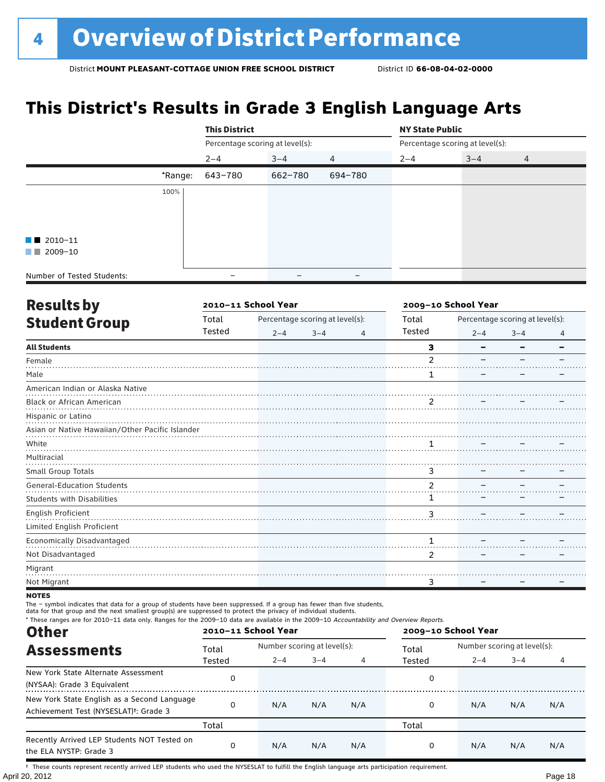# **This District's Results in Grade 3 English Language Arts**

|                            |         | <b>This District</b>            |                              |                          | <b>NY State Public</b> |                                 |   |  |
|----------------------------|---------|---------------------------------|------------------------------|--------------------------|------------------------|---------------------------------|---|--|
|                            |         | Percentage scoring at level(s): |                              |                          |                        | Percentage scoring at level(s): |   |  |
|                            |         | $2 - 4$                         | $3 - 4$                      | 4                        | $2 - 4$                | $3 - 4$                         | 4 |  |
|                            | *Range: | 643-780                         | 662-780                      | 694-780                  |                        |                                 |   |  |
|                            | 100%    |                                 |                              |                          |                        |                                 |   |  |
|                            |         |                                 |                              |                          |                        |                                 |   |  |
| $\blacksquare$ 2010-11     |         |                                 |                              |                          |                        |                                 |   |  |
| $\blacksquare$ 2009-10     |         |                                 |                              |                          |                        |                                 |   |  |
| Number of Tested Students: |         |                                 | $\qquad \qquad \blacksquare$ | $\overline{\phantom{m}}$ |                        |                                 |   |  |

| <b>Results by</b>                               |        | 2010-11 School Year |                                 |   | 2009-10 School Year |         |                                 |   |
|-------------------------------------------------|--------|---------------------|---------------------------------|---|---------------------|---------|---------------------------------|---|
| <b>Student Group</b>                            | Total  |                     | Percentage scoring at level(s): |   | Total               |         | Percentage scoring at level(s): |   |
|                                                 | Tested | $2 - 4$             | $3 - 4$                         | 4 | Tested              | $2 - 4$ | $3 - 4$                         | 4 |
| <b>All Students</b>                             |        |                     |                                 |   | 3                   |         |                                 |   |
| Female                                          |        |                     |                                 |   | $\mathfrak z$       |         |                                 |   |
| Male                                            |        |                     |                                 |   | 1                   |         |                                 |   |
| American Indian or Alaska Native                |        |                     |                                 |   |                     |         |                                 |   |
| Black or African American                       |        |                     |                                 |   | 2                   |         |                                 |   |
| Hispanic or Latino                              |        |                     |                                 |   |                     |         |                                 |   |
| Asian or Native Hawaiian/Other Pacific Islander |        |                     |                                 |   |                     |         |                                 |   |
| White                                           |        |                     |                                 |   |                     |         |                                 |   |
| Multiracial                                     |        |                     |                                 |   |                     |         |                                 |   |
| Small Group Totals                              |        |                     |                                 |   | 3                   |         |                                 |   |
| <b>General-Education Students</b>               |        |                     |                                 |   | 2                   |         |                                 |   |
| <b>Students with Disabilities</b>               |        |                     |                                 |   |                     |         |                                 |   |
| English Proficient                              |        |                     |                                 |   | 3                   |         |                                 |   |
| Limited English Proficient                      |        |                     |                                 |   |                     |         |                                 |   |
| Economically Disadvantaged                      |        |                     |                                 |   | 1                   |         |                                 |   |
| Not Disadvantaged                               |        |                     |                                 |   | 2                   |         |                                 |   |
| Migrant                                         |        |                     |                                 |   |                     |         |                                 |   |
| Not Migrant                                     |        |                     |                                 |   | 3                   |         |                                 |   |

### **NOTES**

The – symbol indicates that data for a group of students have been suppressed. If a group has fewer than five students,

data for that group and the next smallest group(s) are suppressed to protect the privacy of individual students.

| * These ranges are for 2010–11 data only. Ranges for the 2009–10 data are available in the 2009–10 Accountability and Overview Reports.<br><b>Other</b> |          | 2010-11 School Year |                             |     |        | 2009-10 School Year         |         |     |  |
|---------------------------------------------------------------------------------------------------------------------------------------------------------|----------|---------------------|-----------------------------|-----|--------|-----------------------------|---------|-----|--|
| <b>Assessments</b>                                                                                                                                      | Total    |                     | Number scoring at level(s): |     |        | Number scoring at level(s): |         |     |  |
|                                                                                                                                                         | Tested   | $2 - 4$             | $3 - 4$                     | 4   | Tested | $2 - 4$                     | $3 - 4$ |     |  |
| New York State Alternate Assessment                                                                                                                     | 0        |                     |                             |     |        |                             |         |     |  |
| (NYSAA): Grade 3 Equivalent                                                                                                                             |          |                     |                             |     | 0      |                             |         |     |  |
| New York State English as a Second Language                                                                                                             |          |                     |                             |     |        |                             |         |     |  |
| Achievement Test (NYSESLAT) <sup>+</sup> : Grade 3                                                                                                      | $\Omega$ | N/A                 | N/A                         | N/A | 0      | N/A                         | N/A     | N/A |  |
|                                                                                                                                                         | Total    |                     |                             |     | Total  |                             |         |     |  |
| Recently Arrived LEP Students NOT Tested on<br>the ELA NYSTP: Grade 3                                                                                   | 0        | N/A                 | N/A                         | N/A | 0      | N/A                         | N/A     | N/A |  |

April 20, 2012 Page 18 † These counts represent recently arrived LEP students who used the NYSESLAT to fulfill the English language arts participation requirement.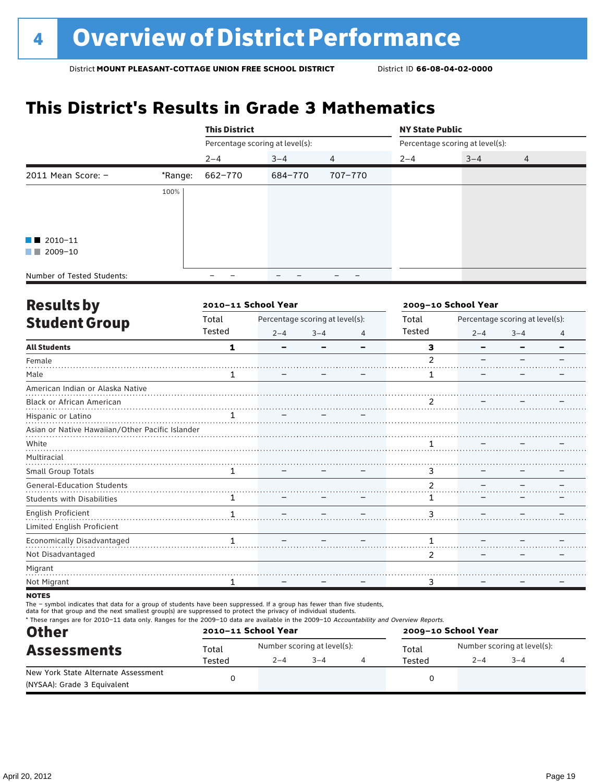# **This District's Results in Grade 3 Mathematics**

|                            |         | <b>This District</b>            |         |         | <b>NY State Public</b> |                                 |   |  |
|----------------------------|---------|---------------------------------|---------|---------|------------------------|---------------------------------|---|--|
|                            |         | Percentage scoring at level(s): |         |         |                        | Percentage scoring at level(s): |   |  |
|                            |         | $2 - 4$                         | $3 - 4$ | 4       | $2 - 4$                | $3 - 4$                         | 4 |  |
| 2011 Mean Score: $-$       | *Range: | 662-770                         | 684-770 | 707-770 |                        |                                 |   |  |
|                            | 100%    |                                 |         |         |                        |                                 |   |  |
|                            |         |                                 |         |         |                        |                                 |   |  |
|                            |         |                                 |         |         |                        |                                 |   |  |
| $\blacksquare$ 2010-11     |         |                                 |         |         |                        |                                 |   |  |
| $\blacksquare$ 2009-10     |         |                                 |         |         |                        |                                 |   |  |
| Number of Tested Students: |         |                                 |         |         |                        |                                 |   |  |

| <b>Results by</b>                               |              | 2010-11 School Year |                                 |   | 2009-10 School Year |         |                                 |   |
|-------------------------------------------------|--------------|---------------------|---------------------------------|---|---------------------|---------|---------------------------------|---|
| <b>Student Group</b>                            | Total        |                     | Percentage scoring at level(s): |   | Total               |         | Percentage scoring at level(s): |   |
|                                                 | Tested       | $2 - 4$             | $3 - 4$                         | 4 | Tested              | $2 - 4$ | $3 - 4$                         | 4 |
| <b>All Students</b>                             | 1            |                     |                                 |   | 3                   |         |                                 |   |
| Female                                          |              |                     |                                 |   | $\mathfrak{p}$      |         |                                 |   |
| Male                                            | 1            |                     |                                 |   | 1                   |         |                                 |   |
| American Indian or Alaska Native                |              |                     |                                 |   |                     |         |                                 |   |
| <b>Black or African American</b>                |              |                     |                                 |   | 2                   |         |                                 |   |
| Hispanic or Latino                              | 1            |                     |                                 |   |                     |         |                                 |   |
| Asian or Native Hawaiian/Other Pacific Islander |              |                     |                                 |   |                     |         |                                 |   |
| White                                           |              |                     |                                 |   |                     |         |                                 |   |
| Multiracial                                     |              |                     |                                 |   |                     |         |                                 |   |
| Small Group Totals                              | 1            |                     |                                 |   | 3                   |         |                                 |   |
| <b>General-Education Students</b>               |              |                     |                                 |   | $\overline{2}$      |         |                                 |   |
| <b>Students with Disabilities</b>               | 1            |                     |                                 |   | 1                   |         |                                 |   |
| English Proficient                              | $\mathbf{1}$ |                     |                                 |   | 3                   |         |                                 |   |
| Limited English Proficient                      |              |                     |                                 |   |                     |         |                                 |   |
| Economically Disadvantaged                      | 1            |                     |                                 |   |                     |         |                                 |   |
| Not Disadvantaged                               |              |                     |                                 |   | 2                   |         |                                 |   |
| Migrant                                         |              |                     |                                 |   |                     |         |                                 |   |
| Not Migrant                                     |              |                     |                                 |   | 3                   |         |                                 |   |
|                                                 |              |                     |                                 |   |                     |         |                                 |   |

**NOTES** 

The – symbol indicates that data for a group of students have been suppressed. If a group has fewer than five students,

data for that group and the next smallest group(s) are suppressed to protect the privacy of individual students.

\* These ranges are for 2010–11 data only. Ranges for the 2009–10 data are available in the 2009–10 Accountability and Overview Reports.

| <b>Other</b>                        | 2010-11 School Year |         |                             | 2009-10 School Year |                             |      |  |  |
|-------------------------------------|---------------------|---------|-----------------------------|---------------------|-----------------------------|------|--|--|
| <b>Assessments</b>                  | Total               |         | Number scoring at level(s): | Total               | Number scoring at level(s): |      |  |  |
|                                     | Tested              | $2 - 4$ | $-4$                        | Tested              | $2 - 4$                     | $-4$ |  |  |
| New York State Alternate Assessment |                     |         |                             |                     |                             |      |  |  |
| (NYSAA): Grade 3 Equivalent         |                     |         |                             |                     |                             |      |  |  |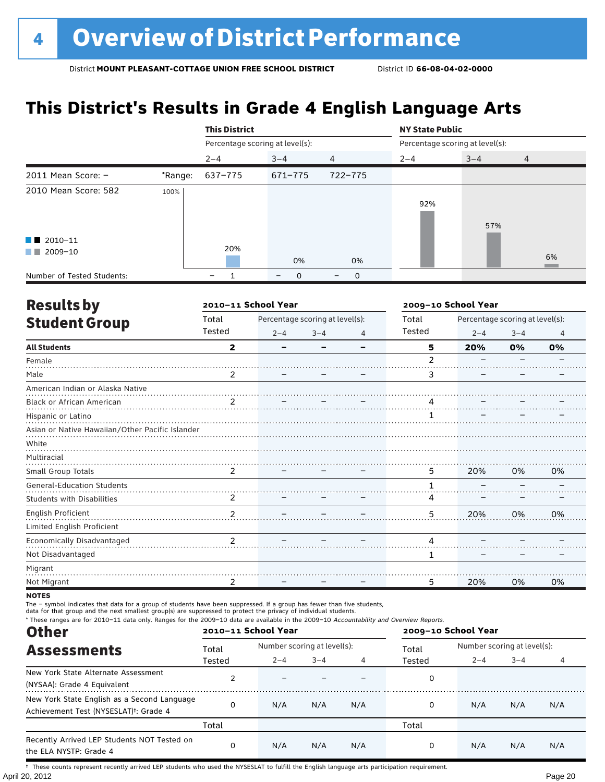# **This District's Results in Grade 4 English Language Arts**

|                                             |         | <b>This District</b>            |                                  |                                  | <b>NY State Public</b>          |         |                |
|---------------------------------------------|---------|---------------------------------|----------------------------------|----------------------------------|---------------------------------|---------|----------------|
|                                             |         | Percentage scoring at level(s): |                                  |                                  | Percentage scoring at level(s): |         |                |
|                                             |         | $2 - 4$                         | $3 - 4$                          | $\overline{4}$                   | $2 - 4$                         | $3 - 4$ | $\overline{4}$ |
| 2011 Mean Score: $-$                        | *Range: | 637-775                         | 671-775                          | 722-775                          |                                 |         |                |
| 2010 Mean Score: 582                        | 100%    |                                 |                                  |                                  | 92%                             | 57%     |                |
| $\blacksquare$ 2010-11<br>2009-10<br>a sa n |         | 20%                             | 0%                               | 0%                               |                                 |         | 6%             |
| Number of Tested Students:                  |         | -                               | $\mathbf 0$<br>$\qquad \qquad -$ | $\mathbf 0$<br>$\qquad \qquad -$ |                                 |         |                |

| <b>Results by</b>                               |                         | 2010-11 School Year |                                 | 2009-10 School Year |        |                                 |         |    |
|-------------------------------------------------|-------------------------|---------------------|---------------------------------|---------------------|--------|---------------------------------|---------|----|
| <b>Student Group</b>                            | Total                   |                     | Percentage scoring at level(s): |                     | Total  | Percentage scoring at level(s): |         |    |
|                                                 | Tested                  | $2 - 4$             | $3 - 4$                         | 4                   | Tested | $2 - 4$                         | $3 - 4$ | 4  |
| <b>All Students</b>                             | $\overline{\mathbf{2}}$ | -                   |                                 |                     | 5      | 20%                             | 0%      | 0% |
| Female                                          |                         |                     |                                 |                     | 2      |                                 |         |    |
| Male                                            | 2                       |                     |                                 |                     | 3      |                                 |         |    |
| American Indian or Alaska Native                |                         |                     |                                 |                     |        |                                 |         |    |
| Black or African American                       | $\mathcal{P}$           |                     |                                 |                     | 4      |                                 |         |    |
| Hispanic or Latino                              |                         |                     |                                 |                     |        |                                 |         |    |
| Asian or Native Hawaiian/Other Pacific Islander |                         |                     |                                 |                     |        |                                 |         |    |
| White                                           |                         |                     |                                 |                     |        |                                 |         |    |
| Multiracial                                     |                         |                     |                                 |                     |        |                                 |         |    |
| Small Group Totals                              | 2                       |                     |                                 |                     | 5      | 20%                             | 0%      | 0% |
| <b>General-Education Students</b>               |                         |                     |                                 |                     |        |                                 |         |    |
| <b>Students with Disabilities</b>               | 2                       |                     |                                 |                     | 4      |                                 |         |    |
| English Proficient                              | $\mathcal{P}$           |                     |                                 |                     | 5      | 20%                             | 0%      | 0% |
| Limited English Proficient                      |                         |                     |                                 |                     |        |                                 |         |    |
| Economically Disadvantaged                      | $\mathfrak{p}$          |                     |                                 |                     | 4      |                                 |         |    |
| Not Disadvantaged                               |                         |                     |                                 |                     | 1      |                                 |         |    |
| Migrant                                         |                         |                     |                                 |                     |        |                                 |         |    |
| Not Migrant                                     | 2                       |                     |                                 |                     | 5      | 20%                             | 0%      | 0% |
|                                                 |                         |                     |                                 |                     |        |                                 |         |    |

**NOTES** 

The – symbol indicates that data for a group of students have been suppressed. If a group has fewer than five students,

data for that group and the next smallest group(s) are suppressed to protect the privacy of individual students.

\* These ranges are for 2010–11 data only. Ranges for the 2009–10 data are available in the 2009–10 Accountability and Overview Reports.

| <b>Other</b>                                                                                      | 2010-11 School Year |                             |         |     | 2009-10 School Year |                             |         |     |  |
|---------------------------------------------------------------------------------------------------|---------------------|-----------------------------|---------|-----|---------------------|-----------------------------|---------|-----|--|
| <b>Assessments</b>                                                                                | Total               | Number scoring at level(s): |         |     | Total               | Number scoring at level(s): |         |     |  |
|                                                                                                   | Tested              | $2 - 4$                     | $3 - 4$ | 4   | Tested              | $2 - 4$                     | $3 - 4$ |     |  |
| New York State Alternate Assessment<br>(NYSAA): Grade 4 Equivalent                                |                     |                             |         |     | 0                   |                             |         |     |  |
| New York State English as a Second Language<br>Achievement Test (NYSESLAT) <sup>+</sup> : Grade 4 | $\Omega$            | N/A                         | N/A     | N/A | 0                   | N/A                         | N/A     | N/A |  |
|                                                                                                   | Total               |                             |         |     | Total               |                             |         |     |  |
| Recently Arrived LEP Students NOT Tested on<br>the ELA NYSTP: Grade 4                             | $\Omega$            | N/A                         | N/A     | N/A | 0                   | N/A                         | N/A     | N/A |  |

April 20, 2012 Page 20 † These counts represent recently arrived LEP students who used the NYSESLAT to fulfill the English language arts participation requirement.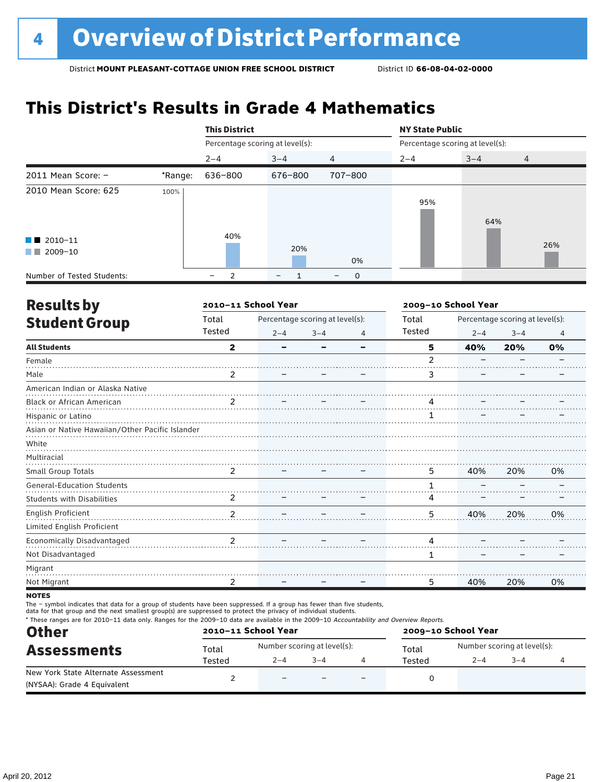# **This District's Results in Grade 4 Mathematics**

|                                                    |         | <b>This District</b>            |                          |                  | <b>NY State Public</b>          |         |                |
|----------------------------------------------------|---------|---------------------------------|--------------------------|------------------|---------------------------------|---------|----------------|
|                                                    |         | Percentage scoring at level(s): |                          |                  | Percentage scoring at level(s): |         |                |
|                                                    |         | $2 - 4$                         | $3 - 4$                  | 4                | $2 - 4$                         | $3 - 4$ | $\overline{4}$ |
| 2011 Mean Score: $-$                               | *Range: | 636-800                         | 676-800                  | 707-800          |                                 |         |                |
| 2010 Mean Score: 625                               | 100%    |                                 |                          |                  | 95%                             | 64%     |                |
| $\blacksquare$ 2010-11<br>2009-10<br><b>The Co</b> |         | 40%                             | 20%                      | 0%               |                                 |         | 26%            |
| Number of Tested Students:                         |         | -                               | $\overline{\phantom{m}}$ | $\mathbf 0$<br>- |                                 |         |                |

| <b>Resultsby</b>                                |                | 2010-11 School Year      |                                 |   | 2009-10 School Year |         |                                 |                |
|-------------------------------------------------|----------------|--------------------------|---------------------------------|---|---------------------|---------|---------------------------------|----------------|
| <b>Student Group</b>                            | Total          |                          | Percentage scoring at level(s): |   | Total               |         | Percentage scoring at level(s): |                |
|                                                 | Tested         | $2 - 4$                  | $3 - 4$                         | 4 | Tested              | $2 - 4$ | $3 - 4$                         | $\overline{4}$ |
| <b>All Students</b>                             | $\mathbf{2}$   | $\overline{\phantom{0}}$ |                                 |   | 5                   | 40%     | 20%                             | 0%             |
| Female                                          |                |                          |                                 |   | $\overline{2}$      |         |                                 |                |
| Male                                            | 2              |                          |                                 |   | 3                   |         |                                 |                |
| American Indian or Alaska Native                |                |                          |                                 |   |                     |         |                                 |                |
| Black or African American                       | $\mathfrak{p}$ |                          |                                 |   | 4                   |         |                                 |                |
| Hispanic or Latino                              |                |                          |                                 |   |                     |         |                                 |                |
| Asian or Native Hawaiian/Other Pacific Islander |                |                          |                                 |   |                     |         |                                 |                |
| White                                           |                |                          |                                 |   |                     |         |                                 |                |
| Multiracial                                     |                |                          |                                 |   |                     |         |                                 |                |
| Small Group Totals                              | 2              |                          |                                 |   | 5                   | 40%     | 20%                             | 0%             |
| <b>General-Education Students</b>               |                |                          |                                 |   |                     |         |                                 |                |
| <b>Students with Disabilities</b>               | 2              |                          |                                 |   | 4                   |         |                                 |                |
| English Proficient                              | 2              |                          |                                 |   | 5                   | 40%     | 20%                             | 0%             |
| Limited English Proficient                      |                |                          |                                 |   |                     |         |                                 |                |
| Economically Disadvantaged                      | $\mathfrak{p}$ |                          |                                 |   | 4                   |         |                                 |                |
| Not Disadvantaged                               |                |                          |                                 |   | 1                   |         |                                 |                |
| Migrant                                         |                |                          |                                 |   |                     |         |                                 |                |
| Not Migrant                                     | 2              |                          |                                 |   | 5                   | 40%     | 20%                             | 0%             |
|                                                 |                |                          |                                 |   |                     |         |                                 |                |

**NOTES** 

The – symbol indicates that data for a group of students have been suppressed. If a group has fewer than five students,

data for that group and the next smallest group(s) are suppressed to protect the privacy of individual students.

\* These ranges are for 2010–11 data only. Ranges for the 2009–10 data are available in the 2009–10 Accountability and Overview Reports.

| <b>Other</b>                        | 2010-11 School Year                    |                             |  |  | 2009-10 School Year |                             |  |  |  |
|-------------------------------------|----------------------------------------|-----------------------------|--|--|---------------------|-----------------------------|--|--|--|
| <b>Assessments</b>                  | Total                                  | Number scoring at level(s): |  |  | Total               | Number scoring at level(s): |  |  |  |
|                                     | $3 - 4$<br>$2 - 4$<br>Tested<br>Tested |                             |  |  | $2 - 4$             | $3 - 4$                     |  |  |  |
| New York State Alternate Assessment |                                        | $\overline{\phantom{m}}$    |  |  |                     |                             |  |  |  |
| (NYSAA): Grade 4 Equivalent         |                                        |                             |  |  |                     |                             |  |  |  |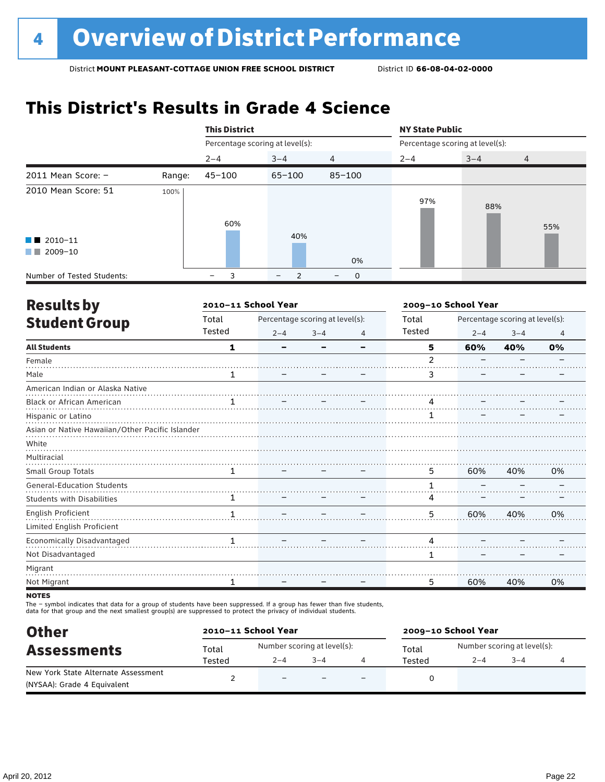# **This District's Results in Grade 4 Science**

|                                                    |        | <b>This District</b>            |         |                  | <b>NY State Public</b>          |         |                |
|----------------------------------------------------|--------|---------------------------------|---------|------------------|---------------------------------|---------|----------------|
|                                                    |        | Percentage scoring at level(s): |         |                  | Percentage scoring at level(s): |         |                |
|                                                    |        | $2 - 4$                         | $3 - 4$ | 4                | $2 - 4$                         | $3 - 4$ | $\overline{4}$ |
| 2011 Mean Score: $-$                               | Range: | $45 - 100$                      | 65-100  | $85 - 100$       |                                 |         |                |
| 2010 Mean Score: 51                                | 100%   | 60%                             |         |                  | 97%                             | 88%     | 55%            |
| $\blacksquare$ 2010-11<br>2009-10<br><b>The Co</b> |        |                                 | 40%     | 0%               |                                 |         |                |
| Number of Tested Students:                         |        |                                 | 2       | $\mathbf 0$<br>- |                                 |         |                |

| <b>Results by</b>                               |        | 2010-11 School Year |                                 |   | 2009-10 School Year |         |                                 |    |
|-------------------------------------------------|--------|---------------------|---------------------------------|---|---------------------|---------|---------------------------------|----|
| <b>Student Group</b>                            | Total  |                     | Percentage scoring at level(s): |   | Total               |         | Percentage scoring at level(s): |    |
|                                                 | Tested | $2 - 4$             | $3 - 4$                         | 4 | Tested              | $2 - 4$ | $3 - 4$                         | 4  |
| <b>All Students</b>                             | 1      | -                   |                                 |   | 5                   | 60%     | 40%                             | 0% |
| Female                                          |        |                     |                                 |   | 2                   |         |                                 |    |
| Male                                            | 1      |                     |                                 |   | 3                   |         |                                 |    |
| American Indian or Alaska Native                |        |                     |                                 |   |                     |         |                                 |    |
| Black or African American                       |        |                     |                                 |   | 4                   |         |                                 |    |
| Hispanic or Latino                              |        |                     |                                 |   |                     |         |                                 |    |
| Asian or Native Hawaiian/Other Pacific Islander |        |                     |                                 |   |                     |         |                                 |    |
| White                                           |        |                     |                                 |   |                     |         |                                 |    |
| Multiracial                                     |        |                     |                                 |   |                     |         |                                 |    |
| Small Group Totals                              | 1      |                     |                                 |   | 5                   | 60%     | 40%                             | 0% |
| <b>General-Education Students</b>               |        |                     |                                 |   |                     |         |                                 |    |
| <b>Students with Disabilities</b>               |        |                     |                                 |   | 4                   |         |                                 |    |
| English Proficient                              | 1      |                     |                                 |   | 5                   | 60%     | 40%                             | 0% |
| Limited English Proficient                      |        |                     |                                 |   |                     |         |                                 |    |
| <b>Economically Disadvantaged</b>               | 1      |                     |                                 |   | 4                   |         |                                 |    |
| Not Disadvantaged                               |        |                     |                                 |   | 1                   |         |                                 |    |
| Migrant                                         |        |                     |                                 |   |                     |         |                                 |    |
| Not Migrant                                     | 1      |                     |                                 |   | 5                   | 60%     | 40%                             | 0% |
| <b>NATEC</b>                                    |        |                     |                                 |   |                     |         |                                 |    |

**NOTES** 

The – symbol indicates that data for a group of students have been suppressed. If a group has fewer than five students,<br>data for that group and the next smallest group(s) are suppressed to protect the privacy of individual

| <b>Other</b>                        |        | 2010-11 School Year      |                             |                          | 2009-10 School Year |                             |         |  |  |
|-------------------------------------|--------|--------------------------|-----------------------------|--------------------------|---------------------|-----------------------------|---------|--|--|
| <b>Assessments</b>                  | Total  |                          | Number scoring at level(s): |                          | Total               | Number scoring at level(s): |         |  |  |
|                                     | Tested | $2 - 4$                  | $3 - 4$                     |                          | Tested              | $2 - 4$                     | $3 - 4$ |  |  |
| New York State Alternate Assessment |        | $\overline{\phantom{0}}$ |                             | $\overline{\phantom{0}}$ |                     |                             |         |  |  |
| (NYSAA): Grade 4 Equivalent         |        |                          |                             |                          |                     |                             |         |  |  |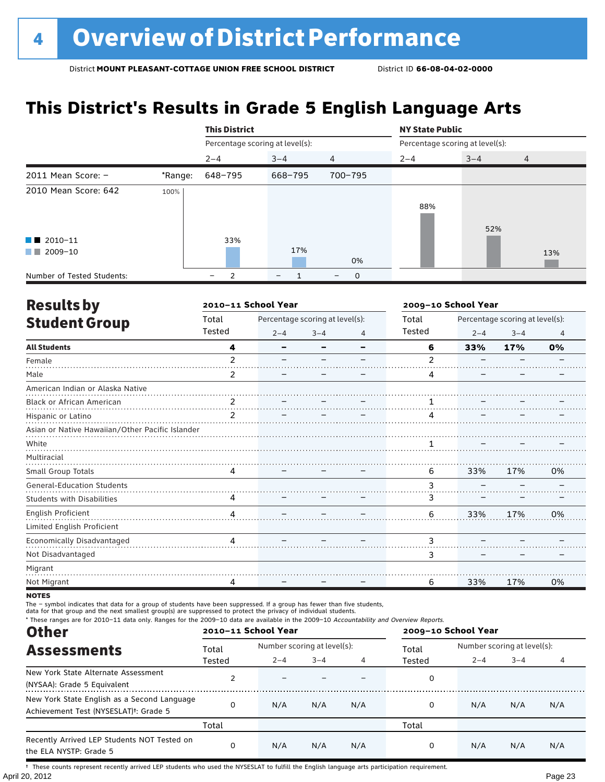# **This District's Results in Grade 5 English Language Arts**

|                                                    |         | <b>This District</b>            |         |                               | <b>NY State Public</b>          |         |                |  |  |
|----------------------------------------------------|---------|---------------------------------|---------|-------------------------------|---------------------------------|---------|----------------|--|--|
|                                                    |         | Percentage scoring at level(s): |         |                               | Percentage scoring at level(s): |         |                |  |  |
|                                                    |         | $2 - 4$                         | $3 - 4$ | $\overline{4}$                | $2 - 4$                         | $3 - 4$ | $\overline{4}$ |  |  |
| 2011 Mean Score: $-$                               | *Range: | 648-795                         | 668-795 | 700-795                       |                                 |         |                |  |  |
| 2010 Mean Score: 642                               | 100%    |                                 |         |                               | 88%                             | 52%     |                |  |  |
| $\blacksquare$ 2010-11<br>2009-10<br><b>The Co</b> |         | 33%                             | 17%     | 0%                            |                                 |         | 13%            |  |  |
| Number of Tested Students:                         |         | 2<br>-                          |         | 0<br>$\overline{\phantom{m}}$ |                                 |         |                |  |  |

| <b>Results by</b>                               |                | 2010-11 School Year |                                 |   | 2009-10 School Year |         |                                 |    |
|-------------------------------------------------|----------------|---------------------|---------------------------------|---|---------------------|---------|---------------------------------|----|
| <b>Student Group</b>                            | Total          |                     | Percentage scoring at level(s): |   | Total               |         | Percentage scoring at level(s): |    |
|                                                 | Tested         | $2 - 4$             | $3 - 4$                         | 4 | Tested              | $2 - 4$ | $3 - 4$                         | 4  |
| <b>All Students</b>                             | 4              |                     |                                 |   | 6                   | 33%     | 17%                             | 0% |
| Female                                          | $\mathfrak{p}$ |                     |                                 |   | 2                   |         |                                 |    |
| Male                                            | 2              |                     |                                 |   | 4                   |         |                                 |    |
| American Indian or Alaska Native                |                |                     |                                 |   |                     |         |                                 |    |
| Black or African American                       | 2              |                     |                                 |   |                     |         |                                 |    |
| Hispanic or Latino                              | $\overline{2}$ |                     |                                 |   | 4                   |         |                                 |    |
| Asian or Native Hawaiian/Other Pacific Islander |                |                     |                                 |   |                     |         |                                 |    |
| White                                           |                |                     |                                 |   |                     |         |                                 |    |
| Multiracial                                     |                |                     |                                 |   |                     |         |                                 |    |
| Small Group Totals                              | 4              |                     |                                 |   | 6                   | 33%     | 17%                             | 0% |
| <b>General-Education Students</b>               |                |                     |                                 |   | 3                   |         |                                 |    |
| <b>Students with Disabilities</b>               | 4              |                     |                                 |   | 3                   |         |                                 |    |
| English Proficient                              | 4              |                     |                                 |   | 6                   | 33%     | 17%                             | 0% |
| Limited English Proficient                      |                |                     |                                 |   |                     |         |                                 |    |
| <b>Economically Disadvantaged</b>               | 4              |                     |                                 |   | 3                   |         |                                 |    |
| Not Disadvantaged                               |                |                     |                                 |   | 3                   |         |                                 |    |
| Migrant                                         |                |                     |                                 |   |                     |         |                                 |    |
| Not Migrant                                     | 4              |                     |                                 |   | 6                   | 33%     | 17%                             | 0% |
|                                                 |                |                     |                                 |   |                     |         |                                 |    |

**NOTES** 

The – symbol indicates that data for a group of students have been suppressed. If a group has fewer than five students,

data for that group and the next smallest group(s) are suppressed to protect the privacy of individual students.

\* These ranges are for 2010–11 data only. Ranges for the 2009–10 data are available in the 2009–10 Accountability and Overview Reports.

| <b>Other</b>                                                                                      | 2010-11 School Year |         |                             |     | 2009-10 School Year |                             |         |     |  |
|---------------------------------------------------------------------------------------------------|---------------------|---------|-----------------------------|-----|---------------------|-----------------------------|---------|-----|--|
| <b>Assessments</b>                                                                                | Total               |         | Number scoring at level(s): |     |                     | Number scoring at level(s): |         |     |  |
|                                                                                                   | Tested              | $2 - 4$ | $3 - 4$                     |     | Tested              | $2 - 4$                     | $3 - 4$ |     |  |
| New York State Alternate Assessment<br>(NYSAA): Grade 5 Equivalent                                |                     |         |                             |     | 0                   |                             |         |     |  |
| New York State English as a Second Language<br>Achievement Test (NYSESLAT) <sup>†</sup> : Grade 5 |                     | N/A     | N/A                         | N/A | 0                   | N/A                         | N/A     | N/A |  |
|                                                                                                   | Total               |         |                             |     | Total               |                             |         |     |  |
| Recently Arrived LEP Students NOT Tested on<br>the ELA NYSTP: Grade 5                             |                     | N/A     | N/A                         | N/A | 0                   | N/A                         | N/A     | N/A |  |

April 20, 2012 Page 23 † These counts represent recently arrived LEP students who used the NYSESLAT to fulfill the English language arts participation requirement.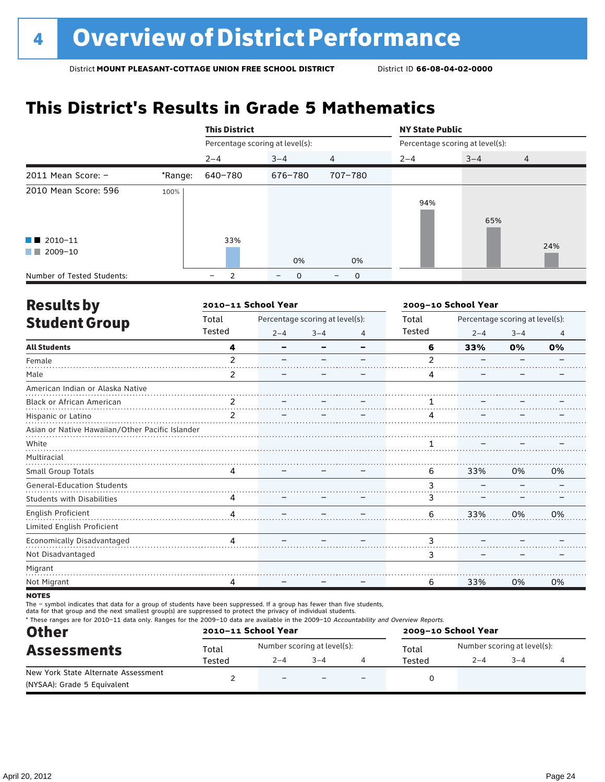# **This District's Results in Grade 5 Mathematics**

|                                                    |         | <b>This District</b>            |                        |                |                                 | <b>NY State Public</b> |                |  |  |  |
|----------------------------------------------------|---------|---------------------------------|------------------------|----------------|---------------------------------|------------------------|----------------|--|--|--|
|                                                    |         | Percentage scoring at level(s): |                        |                | Percentage scoring at level(s): |                        |                |  |  |  |
|                                                    |         | $2 - 4$                         | $3 - 4$                | $\overline{4}$ | $2 - 4$                         | $3 - 4$                | $\overline{4}$ |  |  |  |
| 2011 Mean Score: $-$                               | *Range: | 640-780                         | 676-780                | 707-780        |                                 |                        |                |  |  |  |
| 2010 Mean Score: 596                               | 100%    |                                 |                        |                | 94%                             | 65%                    |                |  |  |  |
| $\blacksquare$ 2010-11<br>2009-10<br><b>The Co</b> |         | 33%                             | 0%                     | 0%             |                                 |                        | 24%            |  |  |  |
| Number of Tested Students:                         |         | -                               | 0<br>$\qquad \qquad -$ | 0<br>-         |                                 |                        |                |  |  |  |

| <b>Results by</b>                               |                | 2010-11 School Year |                                 |                | 2009-10 School Year |                                 |         |                |  |
|-------------------------------------------------|----------------|---------------------|---------------------------------|----------------|---------------------|---------------------------------|---------|----------------|--|
| <b>Student Group</b>                            | Total          |                     | Percentage scoring at level(s): |                | Total               | Percentage scoring at level(s): |         |                |  |
|                                                 | Tested         | $2 - 4$             | $3 - 4$                         | $\overline{4}$ | Tested              | $2 - 4$                         | $3 - 4$ | $\overline{4}$ |  |
| <b>All Students</b>                             | 4              | -                   |                                 |                | 6                   | 33%                             | 0%      | 0%             |  |
| Female                                          | $\overline{2}$ |                     |                                 |                | 2                   |                                 |         |                |  |
| Male                                            | 2              |                     |                                 |                | 4                   |                                 |         |                |  |
| American Indian or Alaska Native                |                |                     |                                 |                |                     |                                 |         |                |  |
| Black or African American                       | 2              |                     |                                 |                |                     |                                 |         |                |  |
| Hispanic or Latino                              | $\mathfrak{p}$ |                     |                                 |                |                     |                                 |         |                |  |
| Asian or Native Hawaiian/Other Pacific Islander |                |                     |                                 |                |                     |                                 |         |                |  |
| White                                           |                |                     |                                 |                |                     |                                 |         |                |  |
| Multiracial                                     |                |                     |                                 |                |                     |                                 |         |                |  |
| Small Group Totals                              | 4              |                     |                                 |                | 6                   | 33%                             | 0%      | 0%             |  |
| <b>General-Education Students</b>               |                |                     |                                 |                | 3                   |                                 |         |                |  |
| <b>Students with Disabilities</b>               | 4              |                     |                                 |                | 3                   |                                 |         |                |  |
| English Proficient                              | 4              |                     |                                 |                | 6                   | 33%                             | 0%      | 0%             |  |
| Limited English Proficient                      |                |                     |                                 |                |                     |                                 |         |                |  |
| Economically Disadvantaged                      | л              |                     |                                 |                | 3                   |                                 |         |                |  |
| Not Disadvantaged                               |                |                     |                                 |                | 3                   |                                 |         |                |  |
| Migrant                                         |                |                     |                                 |                |                     |                                 |         |                |  |
| Not Migrant                                     | 4              |                     |                                 |                | 6                   | 33%                             | 0%      | 0%             |  |
|                                                 |                |                     |                                 |                |                     |                                 |         |                |  |

**NOTES** 

The – symbol indicates that data for a group of students have been suppressed. If a group has fewer than five students,

data for that group and the next smallest group(s) are suppressed to protect the privacy of individual students.

\* These ranges are for 2010–11 data only. Ranges for the 2009–10 data are available in the 2009–10 Accountability and Overview Reports.

| <b>Other</b>                        | 2010-11 School Year |                             |         | 2009-10 School Year |                             |         |  |  |
|-------------------------------------|---------------------|-----------------------------|---------|---------------------|-----------------------------|---------|--|--|
| <b>Assessments</b>                  | Total               | Number scoring at level(s): |         | Total               | Number scoring at level(s): |         |  |  |
|                                     | Tested              | $2 - 4$                     | $3 - 4$ | Tested              | $2 - 4$                     | $3 - 4$ |  |  |
| New York State Alternate Assessment |                     | $\overline{\phantom{0}}$    |         |                     |                             |         |  |  |
| (NYSAA): Grade 5 Equivalent         |                     |                             |         |                     |                             |         |  |  |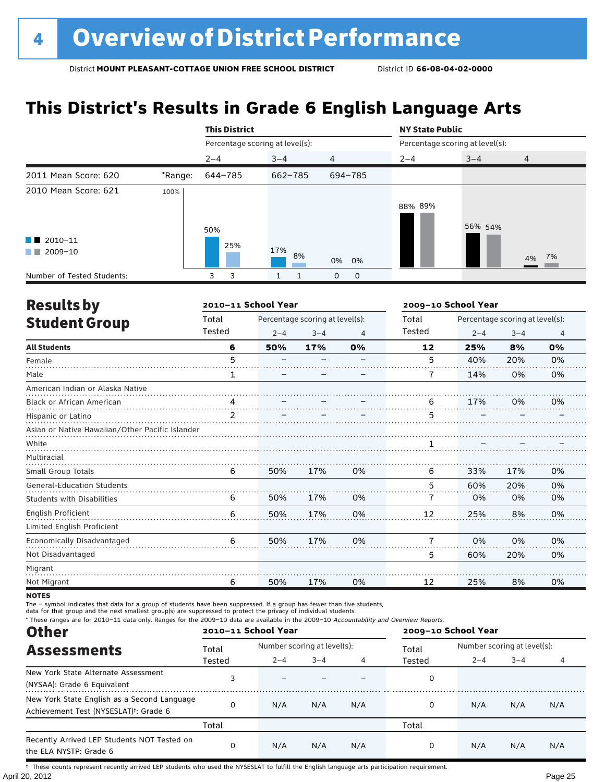# **This District's Results in Grade 6 English Language Arts**

|                                                  |         | <b>This District</b>            |             |                  | <b>NY State Public</b> |                                 |       |  |  |
|--------------------------------------------------|---------|---------------------------------|-------------|------------------|------------------------|---------------------------------|-------|--|--|
|                                                  |         | Percentage scoring at level(s): |             |                  |                        | Percentage scoring at level(s): |       |  |  |
|                                                  |         | $2 - 4$                         | $3 - 4$     | $\overline{4}$   | $2 - 4$                | $3 - 4$                         | 4     |  |  |
| 2011 Mean Score: 620                             | *Range: | 644-785                         | $662 - 785$ | 694-785          |                        |                                 |       |  |  |
| 2010 Mean Score: 621                             | 100%    | 50%                             |             |                  | 88% 89%                | 56% 54%                         |       |  |  |
| $\blacksquare$ 2010-11<br>$\blacksquare$ 2009-10 |         | 25%                             | 17%<br>8%   | 0% 0%            |                        |                                 | 4% 7% |  |  |
| Number of Tested Students:                       |         | 3<br>3                          | 1<br>1      | 0<br>$\mathbf 0$ |                        |                                 |       |  |  |

| <b>Results by</b>                               |                | 2010-11 School Year |                                 |                |        | 2009-10 School Year             |         |                |  |  |
|-------------------------------------------------|----------------|---------------------|---------------------------------|----------------|--------|---------------------------------|---------|----------------|--|--|
| <b>Student Group</b>                            | Total          |                     | Percentage scoring at level(s): |                | Total  | Percentage scoring at level(s): |         |                |  |  |
|                                                 | Tested         | $2 - 4$             | $3 - 4$                         | $\overline{4}$ | Tested | $2 - 4$                         | $3 - 4$ | $\overline{4}$ |  |  |
| <b>All Students</b>                             | 6              | 50%                 | 17%                             | 0%             | 12     | 25%                             | 8%      | 0%             |  |  |
| Female                                          | 5              |                     |                                 |                | 5      | 40%                             | 20%     | 0%             |  |  |
| Male                                            | 1              |                     |                                 |                | 7      | 14%                             | 0%      | 0%             |  |  |
| American Indian or Alaska Native                |                |                     |                                 |                |        |                                 |         |                |  |  |
| <b>Black or African American</b>                | 4              |                     |                                 |                | 6      | 17%                             | 0%      | 0%             |  |  |
| Hispanic or Latino                              | $\overline{2}$ |                     |                                 |                | 5      |                                 |         |                |  |  |
| Asian or Native Hawaiian/Other Pacific Islander |                |                     |                                 |                |        |                                 |         |                |  |  |
| White                                           |                |                     |                                 |                |        |                                 |         |                |  |  |
| Multiracial                                     |                |                     |                                 |                |        |                                 |         |                |  |  |
| Small Group Totals                              | 6              | 50%                 | 17%                             | 0%             | 6      | 33%                             | 17%     | 0%             |  |  |
| <b>General-Education Students</b>               |                |                     |                                 |                | 5      | 60%                             | 20%     | 0%             |  |  |
| <b>Students with Disabilities</b>               | 6              | 50%                 | 17%                             | 0%             | 7      | 0%                              | 0%      | 0%             |  |  |
| <b>English Proficient</b>                       | 6              | 50%                 | 17%                             | 0%             | 12     | 25%                             | 8%      | 0%             |  |  |
| Limited English Proficient                      |                |                     |                                 |                |        |                                 |         |                |  |  |
| Economically Disadvantaged                      | 6              | 50%                 | 17%                             | 0%             | 7      | 0%                              | 0%      | 0%             |  |  |
| Not Disadvantaged                               |                |                     |                                 |                | 5      | 60%                             | 20%     | 0%             |  |  |
| Migrant                                         |                |                     |                                 |                |        |                                 |         |                |  |  |
| Not Migrant                                     | 6              | 50%                 | 17%                             | 0%             | 12     | 25%                             | 8%      | 0%             |  |  |

**NOTES** 

The – symbol indicates that data for a group of students have been suppressed. If a group has fewer than five students,

data for that group and the next smallest group(s) are suppressed to protect the privacy of individual students.

\* These ranges are for 2010–11 data only. Ranges for the 2009–10 data are available in the 2009–10 Accountability and Overview Reports.

|                                                                                                   | 2010-11 School Year |         |                             |     | 2009-10 School Year |                             |         |     |  |
|---------------------------------------------------------------------------------------------------|---------------------|---------|-----------------------------|-----|---------------------|-----------------------------|---------|-----|--|
| <b>Other</b><br><b>Assessments</b>                                                                | Total               |         | Number scoring at level(s): |     |                     | Number scoring at level(s): |         |     |  |
|                                                                                                   | Tested              | $2 - 4$ | $3 - 4$                     |     | Tested              | $2 - 4$                     | $3 - 4$ |     |  |
| New York State Alternate Assessment<br>(NYSAA): Grade 6 Equivalent                                |                     |         |                             |     | 0                   |                             |         |     |  |
| New York State English as a Second Language<br>Achievement Test (NYSESLAT) <sup>t</sup> : Grade 6 |                     | N/A     | N/A                         | N/A | 0                   | N/A                         | N/A     | N/A |  |
|                                                                                                   | Total               |         |                             |     | Total               |                             |         |     |  |
| Recently Arrived LEP Students NOT Tested on<br>the ELA NYSTP: Grade 6                             |                     | N/A     | N/A                         | N/A | 0                   | N/A                         | N/A     | N/A |  |

April 20, 2012 Page 25 † These counts represent recently arrived LEP students who used the NYSESLAT to fulfill the English language arts participation requirement.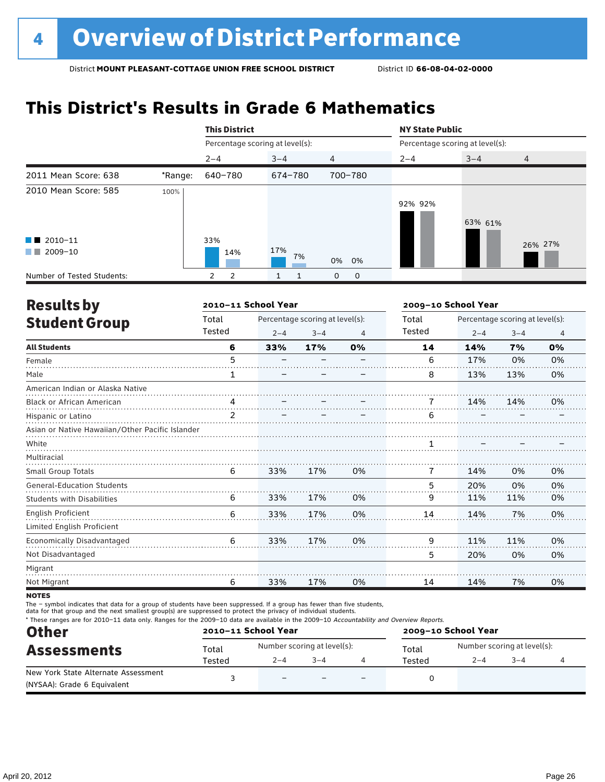# **This District's Results in Grade 6 Mathematics**

|                                              |         | <b>This District</b>            |           |                | <b>NY State Public</b>          |                           |         |
|----------------------------------------------|---------|---------------------------------|-----------|----------------|---------------------------------|---------------------------|---------|
|                                              |         | Percentage scoring at level(s): |           |                | Percentage scoring at level(s): |                           |         |
|                                              |         | $2 - 4$                         | $3 - 4$   | $\overline{4}$ | $2 - 4$                         | $3 - 4$<br>$\overline{4}$ |         |
| 2011 Mean Score: 638                         | *Range: | 640-780                         | 674-780   | 700-780        |                                 |                           |         |
| 2010 Mean Score: 585                         | 100%    |                                 |           |                | 92% 92%                         | 63% 61%                   |         |
| $\blacksquare$ 2010-11<br>2009-10<br>and the |         | 33%<br>14%                      | 17%<br>7% | 0% 0%          |                                 |                           | 26% 27% |
| Number of Tested Students:                   |         | 2<br>$\mathbf{2}$               | 1         | 0<br>0         |                                 |                           |         |

| <b>Results by</b>                               |        | 2010-11 School Year |                                 |    |        | 2009-10 School Year |                                 |                |
|-------------------------------------------------|--------|---------------------|---------------------------------|----|--------|---------------------|---------------------------------|----------------|
| <b>Student Group</b>                            | Total  |                     | Percentage scoring at level(s): |    | Total  |                     | Percentage scoring at level(s): |                |
|                                                 | Tested | $2 - 4$             | $3 - 4$                         | 4  | Tested | $2 - 4$             | $3 - 4$                         | $\overline{4}$ |
| <b>All Students</b>                             | 6      | 33%                 | 17%                             | 0% | 14     | 14%                 | 7%                              | 0%             |
| Female                                          | 5      |                     |                                 |    | 6      | 17%                 | 0%                              | 0%             |
| Male                                            | 1      |                     |                                 |    | 8      | 13%                 | 13%                             | 0%             |
| American Indian or Alaska Native                |        |                     |                                 |    |        |                     |                                 |                |
| <b>Black or African American</b>                | 4      |                     |                                 |    |        | 14%                 | 14%                             | 0%             |
| Hispanic or Latino                              | 2      |                     |                                 |    | 6      |                     |                                 |                |
| Asian or Native Hawaiian/Other Pacific Islander |        |                     |                                 |    |        |                     |                                 |                |
| White                                           |        |                     |                                 |    |        |                     |                                 |                |
| Multiracial                                     |        |                     |                                 |    |        |                     |                                 |                |
| <b>Small Group Totals</b>                       | 6      | 33%                 | 17%                             | 0% | 7      | 14%                 | 0%                              | 0%             |
| <b>General-Education Students</b>               |        |                     |                                 |    | 5      | 20%                 | 0%                              | 0%             |
| <b>Students with Disabilities</b>               | 6      | 33%                 | 17%                             | 0% | 9      | 11%                 | 11%                             | 0%             |
| <b>English Proficient</b>                       | 6      | 33%                 | 17%                             | 0% | 14     | 14%                 | 7%                              | 0%             |
| Limited English Proficient                      |        |                     |                                 |    |        |                     |                                 |                |
| Economically Disadvantaged                      | 6      | 33%                 | 17%                             | 0% | 9      | 11%                 | 11%                             | 0%             |
| Not Disadvantaged                               |        |                     |                                 |    | 5      | 20%                 | 0%                              | 0%             |
| Migrant                                         |        |                     |                                 |    |        |                     |                                 |                |
| Not Migrant                                     | 6      | 33%                 | 17%                             | 0% | 14     | 14%                 | 7%                              | 0%             |

**NOTES** 

The – symbol indicates that data for a group of students have been suppressed. If a group has fewer than five students,

data for that group and the next smallest group(s) are suppressed to protect the privacy of individual students.

\* These ranges are for 2010–11 data only. Ranges for the 2009–10 data are available in the 2009–10 Accountability and Overview Reports.

| <b>Other</b>                        | 2010-11 School Year |                          |                             | 2009-10 School Year |                             |        |  |  |
|-------------------------------------|---------------------|--------------------------|-----------------------------|---------------------|-----------------------------|--------|--|--|
| <b>Assessments</b>                  | Total               |                          | Number scoring at level(s): | Total               | Number scoring at level(s): |        |  |  |
|                                     | Tested              | $2 - 4$                  | $3 - 4$                     | Tested              | $2 - 4$                     | $-3-4$ |  |  |
| New York State Alternate Assessment |                     | $\overline{\phantom{0}}$ |                             |                     |                             |        |  |  |
| (NYSAA): Grade 6 Equivalent         |                     |                          |                             |                     |                             |        |  |  |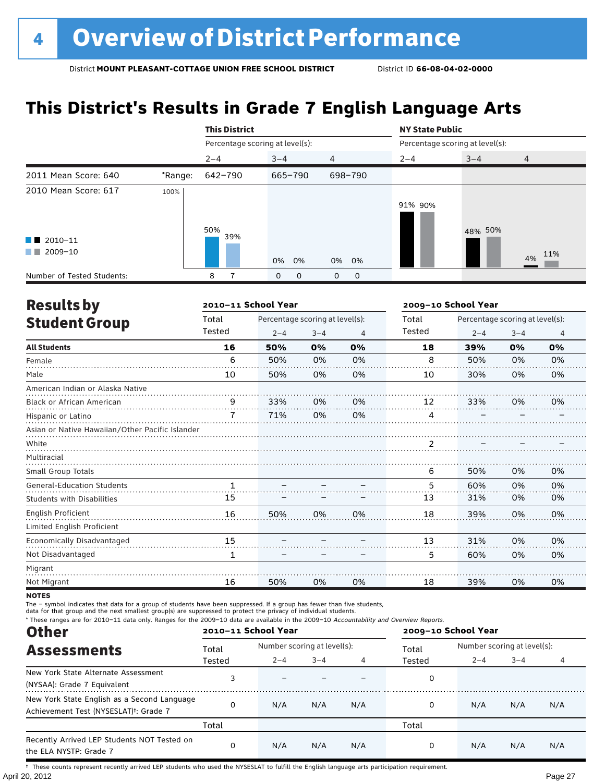# **This District's Results in Grade 7 English Language Arts**

|                                                |         | <b>This District</b>            |                     |                | <b>NY State Public</b>          |         |                |
|------------------------------------------------|---------|---------------------------------|---------------------|----------------|---------------------------------|---------|----------------|
|                                                |         | Percentage scoring at level(s): |                     |                | Percentage scoring at level(s): |         |                |
|                                                |         | $2 - 4$                         | $3 - 4$             | $\overline{4}$ | $2 - 4$                         | $3 - 4$ | $\overline{4}$ |
| 2011 Mean Score: 640                           | *Range: | 642-790                         | 665-790             | 698-790        |                                 |         |                |
| 2010 Mean Score: 617<br>$\blacksquare$ 2010-11 | 100%    | 50%<br>39%                      |                     |                | 91% 90%                         | 48% 50% |                |
| 2009-10<br>and the                             |         |                                 | 0% 0%               | 0% 0%          |                                 |         | 4% 11%         |
| Number of Tested Students:                     |         | 8                               | 0<br>$\overline{0}$ | 0<br>0         |                                 |         |                |

| <b>Results by</b>                               |              | 2010-11 School Year             |         |    |        | 2009-10 School Year             |         |                |
|-------------------------------------------------|--------------|---------------------------------|---------|----|--------|---------------------------------|---------|----------------|
| <b>Student Group</b>                            | Total        | Percentage scoring at level(s): |         |    | Total  | Percentage scoring at level(s): |         |                |
|                                                 | Tested       | $2 - 4$                         | $3 - 4$ | 4  | Tested | $2 - 4$                         | $3 - 4$ | $\overline{4}$ |
| <b>All Students</b>                             | 16           | 50%                             | 0%      | 0% | 18     | 39%                             | 0%      | 0%             |
| Female                                          | 6            | 50%                             | 0%      | 0% | 8      | 50%                             | 0%      | 0%             |
| Male                                            | 10           | 50%                             | 0%      | 0% | 10     | 30%                             | 0%      | 0%             |
| American Indian or Alaska Native                |              |                                 |         |    |        |                                 |         |                |
| Black or African American                       | q            | 33%                             | 0%      | 0% | 12     | 33%                             | 0%      | 0%             |
| Hispanic or Latino                              | 7            | 71%                             | 0%      | 0% | 4      |                                 |         |                |
| Asian or Native Hawaiian/Other Pacific Islander |              |                                 |         |    |        |                                 |         |                |
| White                                           |              |                                 |         |    |        |                                 |         |                |
| Multiracial                                     |              |                                 |         |    |        |                                 |         |                |
| <b>Small Group Totals</b>                       |              |                                 |         |    | 6      | 50%                             | 0%      | 0%             |
| <b>General-Education Students</b>               | $\mathbf{1}$ |                                 |         |    | 5      | 60%                             | 0%      | 0%             |
| <b>Students with Disabilities</b>               | 15           |                                 |         |    | 13     | 31%                             | 0%      | 0%             |
| English Proficient                              | 16           | 50%                             | 0%      | 0% | 18     | 39%                             | 0%      | 0%             |
| Limited English Proficient                      |              |                                 |         |    |        |                                 |         |                |
| Economically Disadvantaged                      | 15           |                                 |         |    | 13     | 31%                             | 0%      | 0%             |
| Not Disadvantaged                               | 1            |                                 |         |    | 5      | 60%                             | 0%      | 0%             |
| Migrant                                         |              |                                 |         |    |        |                                 |         |                |
| Not Migrant                                     | 16           | 50%                             | 0%      | 0% | 18     | 39%                             | 0%      | 0%             |

**NOTES** 

The – symbol indicates that data for a group of students have been suppressed. If a group has fewer than five students,

data for that group and the next smallest group(s) are suppressed to protect the privacy of individual students.

\* These ranges are for 2010–11 data only. Ranges for the 2009–10 data are available in the 2009–10 Accountability and Overview Reports.

| <b>Other</b><br><b>Assessments</b>                                                                | 2010-11 School Year |                             |         |     | 2009-10 School Year |                             |         |     |
|---------------------------------------------------------------------------------------------------|---------------------|-----------------------------|---------|-----|---------------------|-----------------------------|---------|-----|
|                                                                                                   | Total               | Number scoring at level(s): |         |     | Total               | Number scoring at level(s): |         |     |
|                                                                                                   | Tested              | $2 - 4$                     | $3 - 4$ |     | Tested              | $2 - 4$                     | $3 - 4$ |     |
| New York State Alternate Assessment<br>(NYSAA): Grade 7 Equivalent                                |                     |                             |         |     | 0                   |                             |         |     |
| New York State English as a Second Language<br>Achievement Test (NYSESLAT) <sup>+</sup> : Grade 7 | $\Omega$            | N/A                         | N/A     | N/A | 0                   | N/A                         | N/A     | N/A |
|                                                                                                   | Total               |                             |         |     | Total               |                             |         |     |
| Recently Arrived LEP Students NOT Tested on<br>the ELA NYSTP: Grade 7                             | $\Omega$            | N/A                         | N/A     | N/A | 0                   | N/A                         | N/A     | N/A |

April 20, 2012 Page 27 † These counts represent recently arrived LEP students who used the NYSESLAT to fulfill the English language arts participation requirement.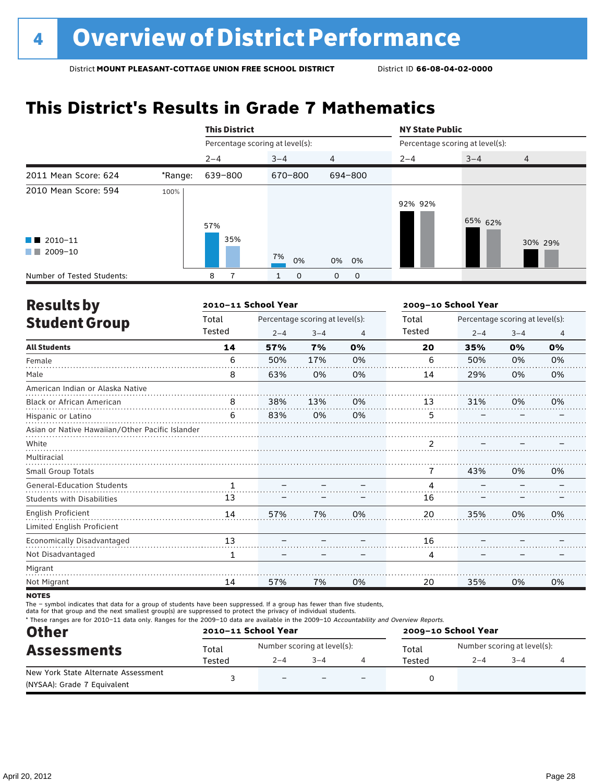# **This District's Results in Grade 7 Mathematics**

|                                                    |         | <b>This District</b>            |          |                | <b>NY State Public</b> |                                 |                |
|----------------------------------------------------|---------|---------------------------------|----------|----------------|------------------------|---------------------------------|----------------|
|                                                    |         | Percentage scoring at level(s): |          |                |                        | Percentage scoring at level(s): |                |
|                                                    |         | $2 - 4$                         | $3 - 4$  | $\overline{4}$ | $2 - 4$                | $3 - 4$                         | $\overline{4}$ |
| 2011 Mean Score: 624                               | *Range: | 639-800                         | 670-800  | 694-800        |                        |                                 |                |
| 2010 Mean Score: 594                               | 100%    | 57%                             |          |                | 92% 92%                | 65% 62%                         |                |
| $\blacksquare$ 2010-11<br>2009-10<br><b>The Co</b> |         | 35%                             | 7%<br>0% | 0% 0%          |                        |                                 | 30% 29%        |
| Number of Tested Students:                         |         | 8                               | 0        | 0<br>0         |                        |                                 |                |

| <b>Results by</b>                               |        | 2010-11 School Year |                                 |    | 2009-10 School Year |                                 |         |                |
|-------------------------------------------------|--------|---------------------|---------------------------------|----|---------------------|---------------------------------|---------|----------------|
| <b>Student Group</b>                            | Total  |                     | Percentage scoring at level(s): |    | Total               | Percentage scoring at level(s): |         |                |
|                                                 | Tested | $2 - 4$             | $3 - 4$                         | 4  | Tested              | $2 - 4$                         | $3 - 4$ | $\overline{4}$ |
| <b>All Students</b>                             | 14     | 57%                 | 7%                              | 0% | 20                  | 35%                             | 0%      | 0%             |
| Female                                          | 6      | 50%                 | 17%                             | 0% | 6                   | 50%                             | 0%      | 0%             |
| Male                                            | 8      | 63%                 | 0%                              | 0% | 14                  | 29%                             | 0%      | 0%             |
| American Indian or Alaska Native                |        |                     |                                 |    |                     |                                 |         |                |
| <b>Black or African American</b>                | 8      | 38%                 | 13%                             | 0% | 13                  | 31%                             | 0%      | 0%             |
| Hispanic or Latino                              | 6      | 83%                 | 0%                              | 0% | 5                   |                                 |         |                |
| Asian or Native Hawaiian/Other Pacific Islander |        |                     |                                 |    |                     |                                 |         |                |
| White                                           |        |                     |                                 |    | 2                   |                                 |         |                |
| Multiracial                                     |        |                     |                                 |    |                     |                                 |         |                |
| Small Group Totals                              |        |                     |                                 |    | 7                   | 43%                             | 0%      | 0%             |
| <b>General-Education Students</b>               | 1      |                     |                                 |    | 4                   |                                 |         |                |
| <b>Students with Disabilities</b>               | 13     |                     |                                 |    | 16                  |                                 |         |                |
| <b>English Proficient</b>                       | 14     | 57%                 | 7%                              | 0% | 20                  | 35%                             | 0%      | 0%             |
| Limited English Proficient                      |        |                     |                                 |    |                     |                                 |         |                |
| Economically Disadvantaged                      | 13     |                     |                                 |    | 16                  |                                 |         |                |
| Not Disadvantaged                               | 1      |                     |                                 |    | 4                   |                                 |         |                |
| Migrant                                         |        |                     |                                 |    |                     |                                 |         |                |
| Not Migrant                                     | 14     | 57%                 | 7%                              | 0% | 20                  | 35%                             | 0%      | 0%             |
|                                                 |        |                     |                                 |    |                     |                                 |         |                |

**NOTES** 

The – symbol indicates that data for a group of students have been suppressed. If a group has fewer than five students,

data for that group and the next smallest group(s) are suppressed to protect the privacy of individual students.

Other \* These ranges are for 2010–11 data only. Ranges for the 2009–10 data are available in the 2009–10 Accountability and Overview Reports. **2010–11 School Year 2009–10 School Year**

| Other                               | 2010–11 SCNOOL Year |                             |         |                          | 2009-10 SCROOL Year |                             |         |  |
|-------------------------------------|---------------------|-----------------------------|---------|--------------------------|---------------------|-----------------------------|---------|--|
| <b>Assessments</b>                  | Total               | Number scoring at level(s): |         |                          | Total               | Number scoring at level(s): |         |  |
|                                     | Tested              | $2 - 4$                     | $3 - 4$ |                          | Tested              | $2 - 4$                     | $3 - 4$ |  |
| New York State Alternate Assessment |                     | $\overline{\phantom{0}}$    |         | $\overline{\phantom{0}}$ |                     |                             |         |  |
| (NYSAA): Grade 7 Equivalent         |                     |                             |         |                          |                     |                             |         |  |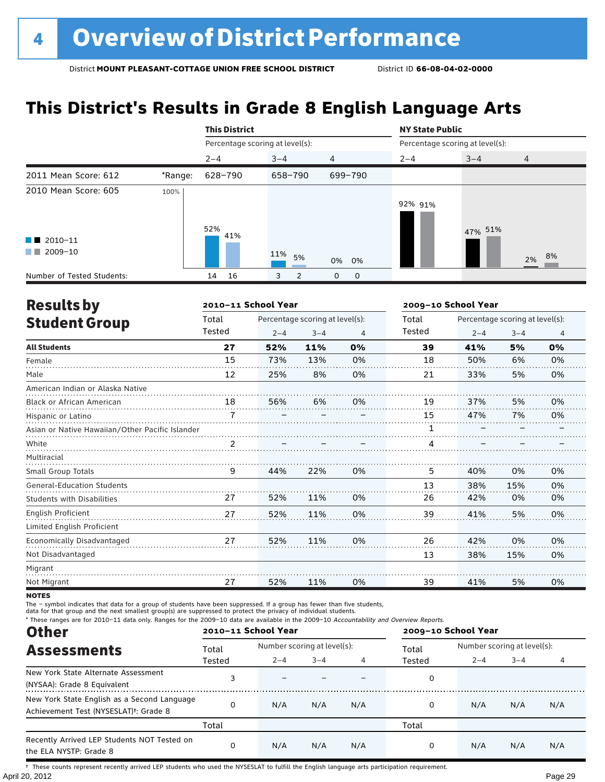# **This District's Results in Grade 8 English Language Arts**

|                                                                      |         | <b>This District</b>            |           |                   | <b>NY State Public</b>          |         |                |
|----------------------------------------------------------------------|---------|---------------------------------|-----------|-------------------|---------------------------------|---------|----------------|
|                                                                      |         | Percentage scoring at level(s): |           |                   | Percentage scoring at level(s): |         |                |
|                                                                      |         | $2 - 4$                         | $3 - 4$   | $\overline{4}$    | $2 - 4$                         | $3 - 4$ | $\overline{4}$ |
| 2011 Mean Score: 612                                                 | *Range: | 628-790                         | 658-790   | 699-790           |                                 |         |                |
| 2010 Mean Score: 605<br>$\blacksquare$ 2010-11<br>2009-10<br>and the | 100%    | 52%<br>41%                      | 11%<br>5% | 0% 0%             | 92% 91%                         | 47% 51% | 2% 8%          |
| Number of Tested Students:                                           |         | 16<br>14                        | 2<br>3    | 0<br>$\mathbf{O}$ |                                 |         |                |

|                                                 |        | 2010-11 School Year |                                 |    | 2009-10 School Year |         |                                 |    |
|-------------------------------------------------|--------|---------------------|---------------------------------|----|---------------------|---------|---------------------------------|----|
|                                                 | Total  |                     | Percentage scoring at level(s): |    | Total               |         | Percentage scoring at level(s): |    |
| <b>Results by</b><br><b>Student Group</b>       | Tested | $2 - 4$             | $3 - 4$                         | 4  | <b>Tested</b>       | $2 - 4$ | $3 - 4$                         | 4  |
| <b>All Students</b>                             | 27     | 52%                 | 11%                             | 0% | 39                  | 41%     | 5%                              | 0% |
| Female                                          | 15     | 73%                 | 13%                             | 0% | 18                  | 50%     | 6%                              | 0% |
| Male                                            | 12     | 25%                 | 8%                              | 0% | 21                  | 33%     | 5%                              | 0% |
| American Indian or Alaska Native                |        |                     |                                 |    |                     |         |                                 |    |
| <b>Black or African American</b>                | 18     | 56%                 | 6%                              | 0% | 19                  | 37%     | 5%                              | 0% |
| Hispanic or Latino                              | 7      |                     |                                 |    | 15                  | 47%     | 7%                              | 0% |
| Asian or Native Hawaiian/Other Pacific Islander |        |                     |                                 |    |                     |         |                                 |    |
| White                                           |        |                     |                                 |    |                     |         |                                 |    |
| Multiracial                                     |        |                     |                                 |    |                     |         |                                 |    |
| Small Group Totals                              | 9      | 44%                 | 22%                             | 0% | 5                   | 40%     | 0%                              | 0% |
| <b>General-Education Students</b>               |        |                     |                                 |    | 13                  | 38%     | 15%                             | 0% |
| <b>Students with Disabilities</b>               | 27     | 52%                 | 11%                             | 0% | 26                  | 42%     | 0%                              | 0% |
| <b>English Proficient</b>                       | 27     | 52%                 | 11%                             | 0% | 39                  | 41%     | 5%                              | 0% |
| Limited English Proficient                      |        |                     |                                 |    |                     |         |                                 |    |
| Economically Disadvantaged                      | 27     | 52%                 | 11%                             | 0% | 26                  | 42%     | 0%                              | 0% |
| Not Disadvantaged                               |        |                     |                                 |    | 13                  | 38%     | 15%                             | 0% |
| Migrant                                         |        |                     |                                 |    |                     |         |                                 |    |
| Not Migrant                                     | 27     | 52%                 | 11%                             | 0% | 39                  | 41%     | 5%                              | 0% |

**NOTES** 

The – symbol indicates that data for a group of students have been suppressed. If a group has fewer than five students,

data for that group and the next smallest group(s) are suppressed to protect the privacy of individual students.

\* These ranges are for 2010–11 data only. Ranges for the 2009–10 data are available in the 2009–10 Accountability and Overview Reports.

| <b>Other</b>                                                                                      | 2010-11 School Year |                             |         |     | 2009-10 School Year |                             |         |     |  |
|---------------------------------------------------------------------------------------------------|---------------------|-----------------------------|---------|-----|---------------------|-----------------------------|---------|-----|--|
| <b>Assessments</b><br>New York State Alternate Assessment<br>(NYSAA): Grade 8 Equivalent          | Total               | Number scoring at level(s): |         |     | Total               | Number scoring at level(s): |         |     |  |
|                                                                                                   | Tested              | $2 - 4$                     | $3 - 4$ | 4   | Tested              | $2 - 4$                     | $3 - 4$ | 4   |  |
|                                                                                                   |                     |                             |         |     | 0                   |                             |         |     |  |
| New York State English as a Second Language<br>Achievement Test (NYSESLAT) <sup>+</sup> : Grade 8 | O                   | N/A                         | N/A     | N/A | 0                   | N/A                         | N/A     | N/A |  |
|                                                                                                   | Total               |                             |         |     | Total               |                             |         |     |  |
| Recently Arrived LEP Students NOT Tested on<br>the ELA NYSTP: Grade 8                             | $\Omega$            | N/A                         | N/A     | N/A | 0                   | N/A                         | N/A     | N/A |  |

April 20, 2012 Page 29 † These counts represent recently arrived LEP students who used the NYSESLAT to fulfill the English language arts participation requirement.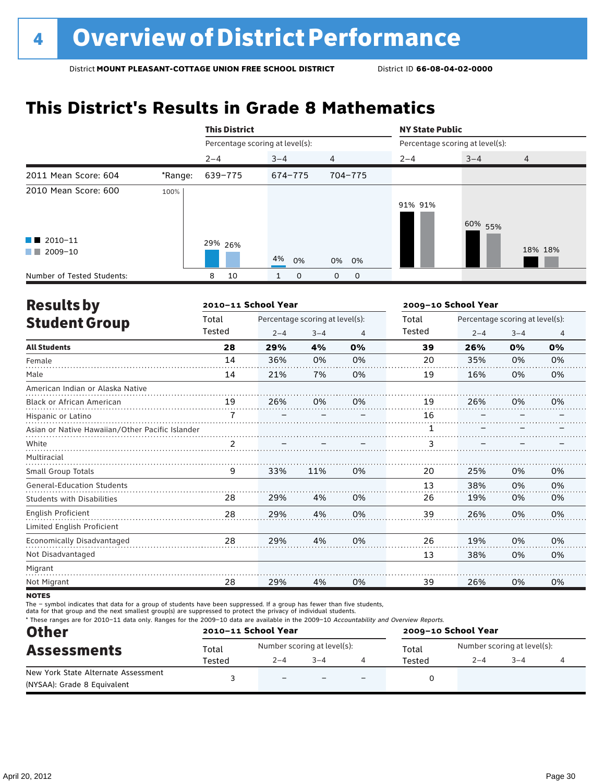# **This District's Results in Grade 8 Mathematics**

|                                              |         | <b>This District</b>            |          |                | <b>NY State Public</b>          |         |                |  |
|----------------------------------------------|---------|---------------------------------|----------|----------------|---------------------------------|---------|----------------|--|
|                                              |         | Percentage scoring at level(s): |          |                | Percentage scoring at level(s): |         |                |  |
|                                              |         | $2 - 4$                         | $3 - 4$  | $\overline{4}$ | $2 - 4$                         | $3 - 4$ | $\overline{4}$ |  |
| 2011 Mean Score: 604                         | *Range: | 639-775                         | 674-775  | 704-775        |                                 |         |                |  |
| 2010 Mean Score: 600                         | 100%    |                                 |          |                | 91% 91%                         | 60% 55% |                |  |
| $\blacksquare$ 2010-11<br>2009-10<br>a sa Ba |         | 29% 26%                         | 4%<br>0% | 0% 0%          |                                 |         | 18% 18%        |  |
| Number of Tested Students:                   |         | 10<br>8                         | 0        | 0<br>0         |                                 |         |                |  |

| <b>Results by</b>                               |               | 2010-11 School Year |                                 | 2009-10 School Year |        |                                 |         |                |
|-------------------------------------------------|---------------|---------------------|---------------------------------|---------------------|--------|---------------------------------|---------|----------------|
| <b>Student Group</b>                            | Total         |                     | Percentage scoring at level(s): |                     |        | Percentage scoring at level(s): |         |                |
|                                                 | Tested        | $2 - 4$             | $3 - 4$                         | 4                   | Tested | $2 - 4$                         | $3 - 4$ | $\overline{4}$ |
| <b>All Students</b>                             | 28            | 29%                 | 4%                              | 0%                  | 39     | 26%                             | 0%      | 0%             |
| Female                                          | 14            | 36%                 | 0%                              | 0%                  | 20     | 35%                             | 0%      | 0%             |
| Male                                            | 14            | 21%                 | 7%                              | 0%                  | 19     | 16%                             | 0%      | 0%             |
| American Indian or Alaska Native                |               |                     |                                 |                     |        |                                 |         |                |
| <b>Black or African American</b>                | 19            | 26%                 | 0%                              | 0%                  | 19     | 26%                             | 0%      | 0%             |
| Hispanic or Latino                              | 7             |                     |                                 |                     | 16     |                                 |         |                |
| Asian or Native Hawaiian/Other Pacific Islander |               |                     |                                 |                     |        |                                 |         |                |
| White                                           | $\mathcal{P}$ |                     |                                 |                     | 3      |                                 |         |                |
| Multiracial                                     |               |                     |                                 |                     |        |                                 |         |                |
| Small Group Totals                              | 9             | 33%                 | 11%                             | 0%                  | 20     | 25%                             | 0%      | 0%             |
| <b>General-Education Students</b>               |               |                     |                                 |                     | 13     | 38%                             | 0%      | 0%             |
| <b>Students with Disabilities</b>               | 28            | 29%                 | 4%                              | 0%                  | 26     | 19%                             | 0%      | 0%             |
| <b>English Proficient</b>                       | 28            | 29%                 | 4%                              | 0%                  | 39     | 26%                             | 0%      | 0%             |
| Limited English Proficient                      |               |                     |                                 |                     |        |                                 |         |                |
| <b>Economically Disadvantaged</b>               | 28            | 29%                 | 4%                              | 0%                  | 26     | 19%                             | 0%      | 0%             |
| Not Disadvantaged                               |               |                     |                                 |                     | 13     | 38%                             | 0%      | 0%             |
| Migrant                                         |               |                     |                                 |                     |        |                                 |         |                |
| Not Migrant                                     | 28            | 29%                 | 4%                              | 0%                  | 39     | 26%                             | 0%      | 0%             |

**NOTES** 

The – symbol indicates that data for a group of students have been suppressed. If a group has fewer than five students,

data for that group and the next smallest group(s) are suppressed to protect the privacy of individual students.

\* These ranges are for 2010–11 data only. Ranges for the 2009–10 data are available in the 2009–10 Accountability and Overview Reports.

| <b>Other</b><br><b>Assessments</b>                                 | 2010-11 School Year |                             |         |                          | 2009-10 School Year |                             |         |  |  |
|--------------------------------------------------------------------|---------------------|-----------------------------|---------|--------------------------|---------------------|-----------------------------|---------|--|--|
|                                                                    | Total               | Number scoring at level(s): |         |                          | Total               | Number scoring at level(s): |         |  |  |
|                                                                    | Tested              | $2 - 4$                     | $3 - 4$ |                          | Tested              | $2 - 4$                     | $3 - 4$ |  |  |
| New York State Alternate Assessment<br>(NYSAA): Grade 8 Equivalent |                     | $\overline{\phantom{0}}$    |         | $\overline{\phantom{0}}$ |                     |                             |         |  |  |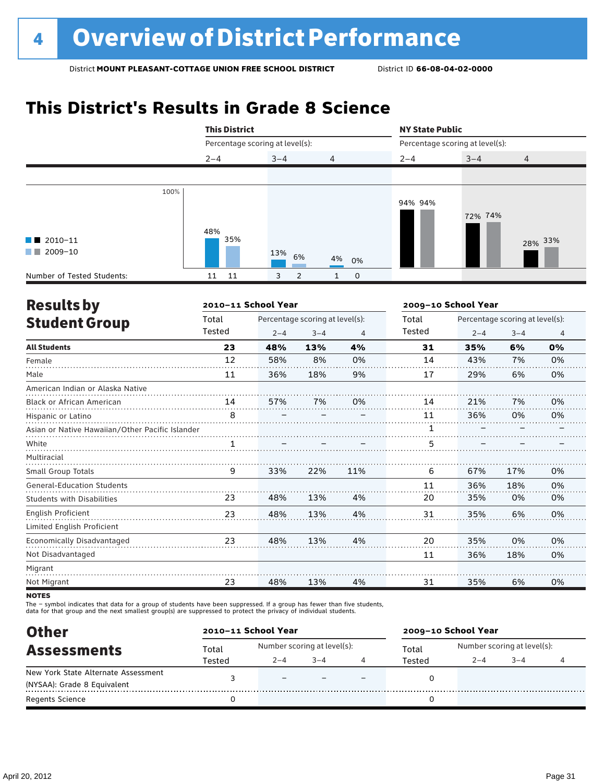# **This District's Results in Grade 8 Science**

|                                              |      | <b>This District</b> |                                 |             | <b>NY State Public</b> |                                 |                |
|----------------------------------------------|------|----------------------|---------------------------------|-------------|------------------------|---------------------------------|----------------|
|                                              |      |                      | Percentage scoring at level(s): |             |                        | Percentage scoring at level(s): |                |
|                                              |      | $2 - 4$              | $3 - 4$                         | 4           | $2 - 4$                | $3 - 4$                         | $\overline{4}$ |
|                                              |      |                      |                                 |             |                        |                                 |                |
| $\blacksquare$ 2010-11<br>2009-10<br>and the | 100% | 48%<br>35%           | 13%<br>6%                       | 4%<br>0%    | 94% 94%                | 72% 74%                         | 28% 33%        |
| Number of Tested Students:                   |      | 11<br>11             | $\overline{2}$<br>3             | $\mathbf 0$ |                        |                                 |                |

| <b>Results by</b>                               |        | 2010-11 School Year |                                 |     | 2009-10 School Year |                                 |         |                |
|-------------------------------------------------|--------|---------------------|---------------------------------|-----|---------------------|---------------------------------|---------|----------------|
| <b>Student Group</b>                            | Total  |                     | Percentage scoring at level(s): |     | Total               | Percentage scoring at level(s): |         |                |
|                                                 | Tested | $2 - 4$             | $3 - 4$                         | 4   | Tested              | $2 - 4$                         | $3 - 4$ | $\overline{4}$ |
| <b>All Students</b>                             | 23     | 48%                 | 13%                             | 4%  | 31                  | 35%                             | 6%      | 0%             |
| Female                                          | 12     | 58%                 | 8%                              | 0%  | 14                  | 43%                             | 7%      | 0%             |
| Male                                            | 11     | 36%                 | 18%                             | 9%  | 17                  | 29%                             | 6%      | 0%             |
| American Indian or Alaska Native                |        |                     |                                 |     |                     |                                 |         |                |
| Black or African American                       | 14     | 57%                 | 7%                              | 0%  | 14                  | 21%                             | 7%      | 0%             |
| Hispanic or Latino                              | 8      |                     |                                 |     | 11                  | 36%                             | 0%      | 0%             |
| Asian or Native Hawaiian/Other Pacific Islander |        |                     |                                 |     | 1                   |                                 |         |                |
| White                                           | 1      |                     |                                 |     | 5                   |                                 |         |                |
| Multiracial                                     |        |                     |                                 |     |                     |                                 |         |                |
| <b>Small Group Totals</b>                       | 9      | 33%                 | 22%                             | 11% | 6                   | 67%                             | 17%     | 0%             |
| <b>General-Education Students</b>               |        |                     |                                 |     | 11                  | 36%                             | 18%     | 0%             |
| <b>Students with Disabilities</b>               | 23     | 48%                 | 13%                             | 4%  | 20                  | 35%                             | 0%      | 0%             |
| <b>English Proficient</b>                       | 23     | 48%                 | 13%                             | 4%  | 31                  | 35%                             | 6%      | 0%             |
| Limited English Proficient                      |        |                     |                                 |     |                     |                                 |         |                |
| Economically Disadvantaged                      | 23     | 48%                 | 13%                             | 4%  | 20                  | 35%                             | 0%      | 0%             |
| Not Disadvantaged                               |        |                     |                                 |     | 11                  | 36%                             | 18%     | 0%             |
| Migrant                                         |        |                     |                                 |     |                     |                                 |         |                |
| Not Migrant                                     | 23     | 48%                 | 13%                             | 4%  | 31                  | 35%                             | 6%      | 0%             |
|                                                 |        |                     |                                 |     |                     |                                 |         |                |

**NOTES** 

The – symbol indicates that data for a group of students have been suppressed. If a group has fewer than five students,<br>data for that group and the next smallest group(s) are suppressed to protect the privacy of individual

| <b>Other</b>                        | 2010-11 School Year |                             |         |  | 2009-10 School Year |                             |     |  |  |
|-------------------------------------|---------------------|-----------------------------|---------|--|---------------------|-----------------------------|-----|--|--|
| <b>Assessments</b>                  | Total               | Number scoring at level(s): |         |  | Total               | Number scoring at level(s): |     |  |  |
|                                     | Tested              | $2 - 4$                     | $3 - 4$ |  | Tested              | $2 - 4$                     | 3–4 |  |  |
| New York State Alternate Assessment |                     |                             |         |  |                     |                             |     |  |  |
| (NYSAA): Grade 8 Equivalent         |                     |                             |         |  |                     |                             |     |  |  |
| <b>Regents Science</b>              |                     |                             |         |  |                     |                             |     |  |  |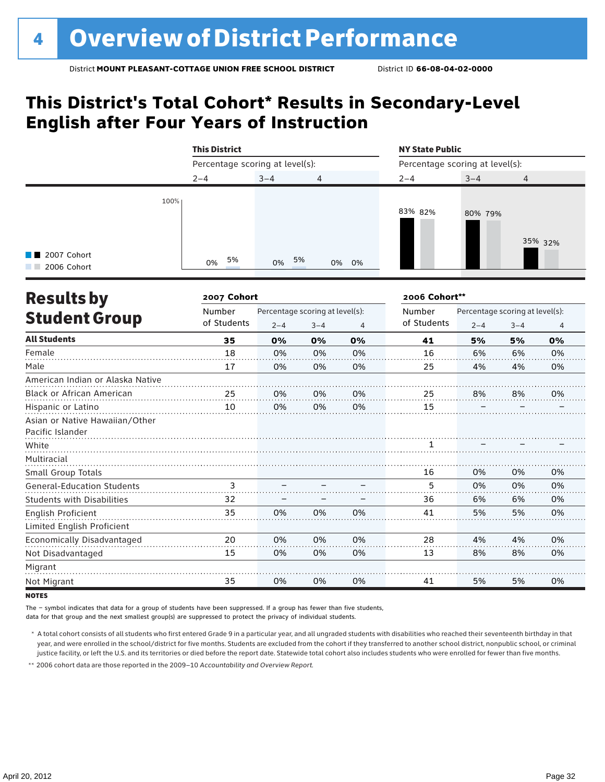# **This District's Total Cohort\* Results in Secondary-Level English after Four Years of Instruction**

|                                             | <b>This District</b>            |          |                | <b>NY State Public</b>          |         |         |  |  |  |
|---------------------------------------------|---------------------------------|----------|----------------|---------------------------------|---------|---------|--|--|--|
|                                             | Percentage scoring at level(s): |          |                | Percentage scoring at level(s): |         |         |  |  |  |
|                                             | $2 - 4$                         | $3 - 4$  | $\overline{4}$ | $2 - 4$                         | $3 - 4$ | 4       |  |  |  |
| 100%<br><b>T</b> 2007 Cohort<br>2006 Cohort | 5%<br>0%                        | 5%<br>0% | 0% 0%          | 83% 82%                         | 80% 79% | 35% 32% |  |  |  |

| <b>Results by</b>                 | 2007 Cohort |         |                                 | 2006 Cohort** |             |                                 |         |                |
|-----------------------------------|-------------|---------|---------------------------------|---------------|-------------|---------------------------------|---------|----------------|
|                                   | Number      |         | Percentage scoring at level(s): |               |             | Percentage scoring at level(s): |         |                |
| <b>Student Group</b>              | of Students | $2 - 4$ | $3 - 4$                         | 4             | of Students | $2 - 4$                         | $3 - 4$ | $\overline{4}$ |
| <b>All Students</b>               | 35          | 0%      | 0%                              | 0%            | 41          | 5%                              | 5%      | 0%             |
| Female                            | 18          | 0%      | 0%                              | 0%            | 16          | 6%                              | 6%      | 0%             |
| Male                              | 17          | 0%      | 0%                              | 0%            | 25          | 4%                              | 4%      | 0%             |
| American Indian or Alaska Native  |             |         |                                 |               |             |                                 |         |                |
| <b>Black or African American</b>  | 25          | 0%      | 0%                              | 0%            | 25          | 8%                              | 8%      | 0%             |
| Hispanic or Latino                | 10          | 0%      | 0%                              | 0%            | 15          |                                 |         |                |
| Asian or Native Hawaiian/Other    |             |         |                                 |               |             |                                 |         |                |
| Pacific Islander                  |             |         |                                 |               |             |                                 |         |                |
| White                             |             |         |                                 |               |             |                                 |         |                |
| Multiracial                       |             |         |                                 |               |             |                                 |         |                |
| Small Group Totals                |             |         |                                 |               | 16          | 0%                              | 0%      | 0%             |
| <b>General-Education Students</b> | 3           |         |                                 |               | 5           | 0%                              | 0%      | 0%             |
| <b>Students with Disabilities</b> | 32          |         |                                 |               | 36          | 6%                              | 6%      | 0%             |
| English Proficient                | 35          | 0%      | 0%                              | 0%            | 41          | 5%                              | 5%      | 0%             |
| Limited English Proficient        |             |         |                                 |               |             |                                 |         |                |
| Economically Disadvantaged        | 20          | 0%      | 0%                              | 0%            | 28          | 4%                              | 4%      | 0%             |
| Not Disadvantaged                 | 15          | 0%      | 0%                              | 0%            | 13          | 8%                              | 8%      | 0%             |
| Migrant                           |             |         |                                 |               |             |                                 |         |                |
| Not Migrant                       | 35          | 0%      | 0%                              | 0%            | 41          | 5%                              | 5%      | 0%             |
|                                   |             |         |                                 |               |             |                                 |         |                |

**NOTES** 

The – symbol indicates that data for a group of students have been suppressed. If a group has fewer than five students,

data for that group and the next smallest group(s) are suppressed to protect the privacy of individual students.

\* A total cohort consists of all students who first entered Grade 9 in a particular year, and all ungraded students with disabilities who reached their seventeenth birthday in that year, and were enrolled in the school/district for five months. Students are excluded from the cohort if they transferred to another school district, nonpublic school, or criminal justice facility, or left the U.S. and its territories or died before the report date. Statewide total cohort also includes students who were enrolled for fewer than five months.

\*\* 2006 cohort data are those reported in the 2009–10 *Accountability and Overview Report*.